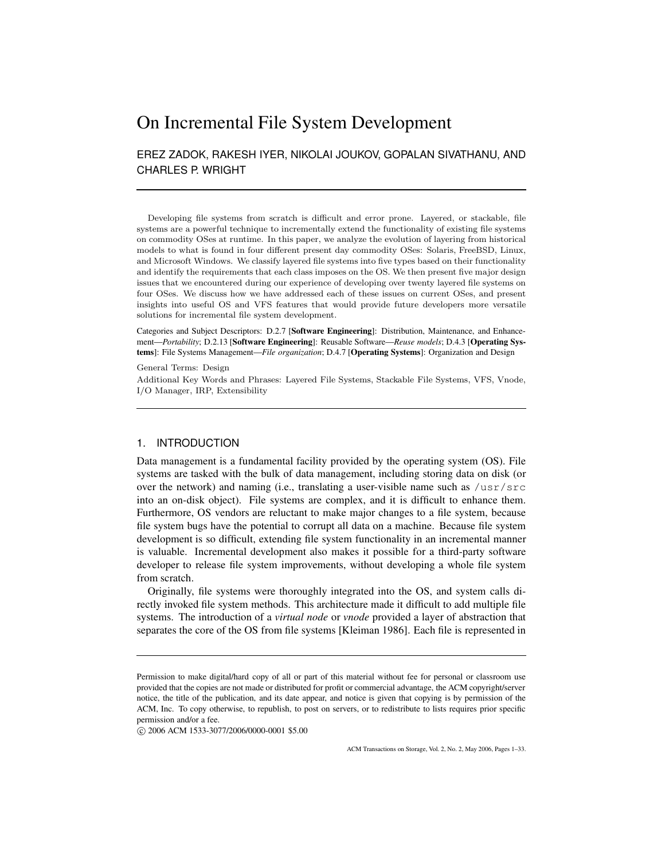# On Incremental File System Development

EREZ ZADOK, RAKESH IYER, NIKOLAI JOUKOV, GOPALAN SIVATHANU, AND CHARLES P. WRIGHT

Developing file systems from scratch is difficult and error prone. Layered, or stackable, file systems are a powerful technique to incrementally extend the functionality of existing file systems on commodity OSes at runtime. In this paper, we analyze the evolution of layering from historical models to what is found in four different present day commodity OSes: Solaris, FreeBSD, Linux, and Microsoft Windows. We classify layered file systems into five types based on their functionality and identify the requirements that each class imposes on the OS. We then present five major design issues that we encountered during our experience of developing over twenty layered file systems on four OSes. We discuss how we have addressed each of these issues on current OSes, and present insights into useful OS and VFS features that would provide future developers more versatile solutions for incremental file system development.

Categories and Subject Descriptors: D.2.7 [**Software Engineering**]: Distribution, Maintenance, and Enhancement—*Portability*; D.2.13 [**Software Engineering**]: Reusable Software—*Reuse models*; D.4.3 [**Operating Systems**]: File Systems Management—*File organization*; D.4.7 [**Operating Systems**]: Organization and Design

General Terms: Design

Additional Key Words and Phrases: Layered File Systems, Stackable File Systems, VFS, Vnode, I/O Manager, IRP, Extensibility

## 1. INTRODUCTION

Data management is a fundamental facility provided by the operating system (OS). File systems are tasked with the bulk of data management, including storing data on disk (or over the network) and naming (i.e., translating a user-visible name such as  $/\text{usr}/\text{src}$ into an on-disk object). File systems are complex, and it is difficult to enhance them. Furthermore, OS vendors are reluctant to make major changes to a file system, because file system bugs have the potential to corrupt all data on a machine. Because file system development is so difficult, extending file system functionality in an incremental manner is valuable. Incremental development also makes it possible for a third-party software developer to release file system improvements, without developing a whole file system from scratch.

Originally, file systems were thoroughly integrated into the OS, and system calls directly invoked file system methods. This architecture made it difficult to add multiple file systems. The introduction of a *virtual node* or *vnode* provided a layer of abstraction that separates the core of the OS from file systems [Kleiman 1986]. Each file is represented in

c 2006 ACM 1533-3077/2006/0000-0001 \$5.00

ACM Transactions on Storage, Vol. 2, No. 2, May 2006, Pages 1–33.

Permission to make digital/hard copy of all or part of this material without fee for personal or classroom use provided that the copies are not made or distributed for profit or commercial advantage, the ACM copyright/server notice, the title of the publication, and its date appear, and notice is given that copying is by permission of the ACM, Inc. To copy otherwise, to republish, to post on servers, or to redistribute to lists requires prior specific permission and/or a fee.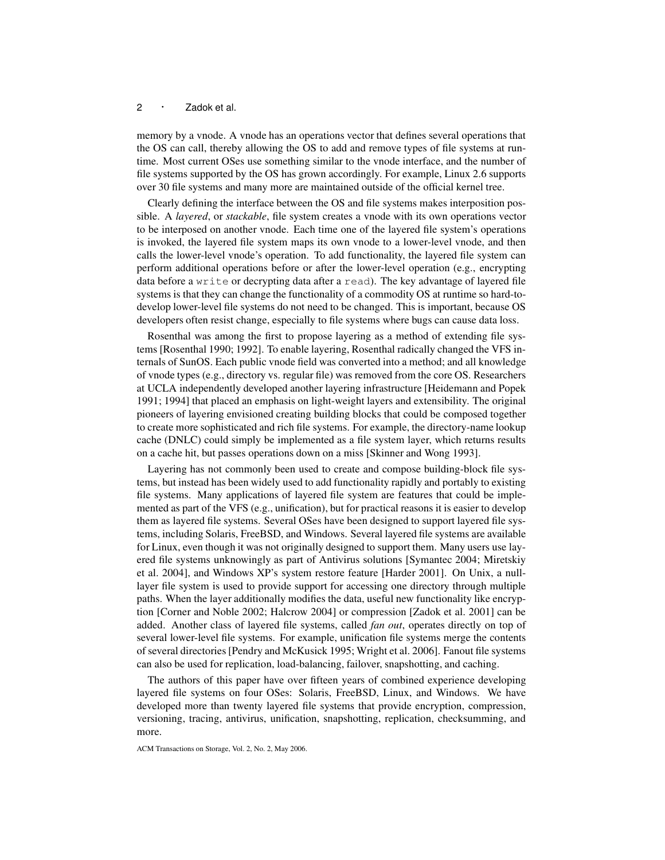## $2 \cdot Z$ adok et al.

memory by a vnode. A vnode has an operations vector that defines several operations that the OS can call, thereby allowing the OS to add and remove types of file systems at runtime. Most current OSes use something similar to the vnode interface, and the number of file systems supported by the OS has grown accordingly. For example, Linux 2.6 supports over 30 file systems and many more are maintained outside of the official kernel tree.

Clearly defining the interface between the OS and file systems makes interposition possible. A *layered*, or *stackable*, file system creates a vnode with its own operations vector to be interposed on another vnode. Each time one of the layered file system's operations is invoked, the layered file system maps its own vnode to a lower-level vnode, and then calls the lower-level vnode's operation. To add functionality, the layered file system can perform additional operations before or after the lower-level operation (e.g., encrypting data before a write or decrypting data after a read). The key advantage of layered file systems is that they can change the functionality of a commodity OS at runtime so hard-todevelop lower-level file systems do not need to be changed. This is important, because OS developers often resist change, especially to file systems where bugs can cause data loss.

Rosenthal was among the first to propose layering as a method of extending file systems [Rosenthal 1990; 1992]. To enable layering, Rosenthal radically changed the VFS internals of SunOS. Each public vnode field was converted into a method; and all knowledge of vnode types (e.g., directory vs. regular file) was removed from the core OS. Researchers at UCLA independently developed another layering infrastructure [Heidemann and Popek 1991; 1994] that placed an emphasis on light-weight layers and extensibility. The original pioneers of layering envisioned creating building blocks that could be composed together to create more sophisticated and rich file systems. For example, the directory-name lookup cache (DNLC) could simply be implemented as a file system layer, which returns results on a cache hit, but passes operations down on a miss [Skinner and Wong 1993].

Layering has not commonly been used to create and compose building-block file systems, but instead has been widely used to add functionality rapidly and portably to existing file systems. Many applications of layered file system are features that could be implemented as part of the VFS (e.g., unification), but for practical reasons it is easier to develop them as layered file systems. Several OSes have been designed to support layered file systems, including Solaris, FreeBSD, and Windows. Several layered file systems are available for Linux, even though it was not originally designed to support them. Many users use layered file systems unknowingly as part of Antivirus solutions [Symantec 2004; Miretskiy et al. 2004], and Windows XP's system restore feature [Harder 2001]. On Unix, a nulllayer file system is used to provide support for accessing one directory through multiple paths. When the layer additionally modifies the data, useful new functionality like encryption [Corner and Noble 2002; Halcrow 2004] or compression [Zadok et al. 2001] can be added. Another class of layered file systems, called *fan out*, operates directly on top of several lower-level file systems. For example, unification file systems merge the contents of several directories [Pendry and McKusick 1995; Wright et al. 2006]. Fanout file systems can also be used for replication, load-balancing, failover, snapshotting, and caching.

The authors of this paper have over fifteen years of combined experience developing layered file systems on four OSes: Solaris, FreeBSD, Linux, and Windows. We have developed more than twenty layered file systems that provide encryption, compression, versioning, tracing, antivirus, unification, snapshotting, replication, checksumming, and more.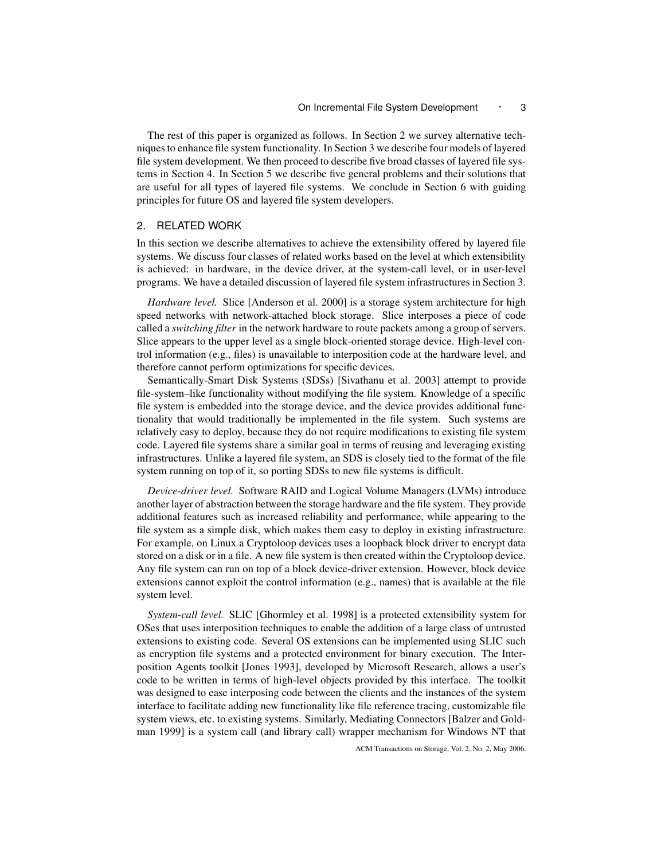The rest of this paper is organized as follows. In Section 2 we survey alternative techniquesto enhance file system functionality. In Section 3 we describe four models of layered file system development. We then proceed to describe five broad classes of layered file systems in Section 4. In Section 5 we describe five general problems and their solutions that are useful for all types of layered file systems. We conclude in Section 6 with guiding principles for future OS and layered file system developers.

## 2. RELATED WORK

In this section we describe alternatives to achieve the extensibility offered by layered file systems. We discuss four classes of related works based on the level at which extensibility is achieved: in hardware, in the device driver, at the system-call level, or in user-level programs. We have a detailed discussion of layered file system infrastructures in Section 3.

*Hardware level.* Slice [Anderson et al. 2000] is a storage system architecture for high speed networks with network-attached block storage. Slice interposes a piece of code called a *switching filter* in the network hardware to route packets among a group of servers. Slice appears to the upper level as a single block-oriented storage device. High-level control information (e.g., files) is unavailable to interposition code at the hardware level, and therefore cannot perform optimizations for specific devices.

Semantically-Smart Disk Systems (SDSs) [Sivathanu et al. 2003] attempt to provide file-system–like functionality without modifying the file system. Knowledge of a specific file system is embedded into the storage device, and the device provides additional functionality that would traditionally be implemented in the file system. Such systems are relatively easy to deploy, because they do not require modifications to existing file system code. Layered file systems share a similar goal in terms of reusing and leveraging existing infrastructures. Unlike a layered file system, an SDS is closely tied to the format of the file system running on top of it, so porting SDSs to new file systems is difficult.

*Device-driver level.* Software RAID and Logical Volume Managers (LVMs) introduce another layer of abstraction between the storage hardware and the file system. They provide additional features such as increased reliability and performance, while appearing to the file system as a simple disk, which makes them easy to deploy in existing infrastructure. For example, on Linux a Cryptoloop devices uses a loopback block driver to encrypt data stored on a disk or in a file. A new file system is then created within the Cryptoloop device. Any file system can run on top of a block device-driver extension. However, block device extensions cannot exploit the control information (e.g., names) that is available at the file system level.

*System-call level.* SLIC [Ghormley et al. 1998] is a protected extensibility system for OSes that uses interposition techniques to enable the addition of a large class of untrusted extensions to existing code. Several OS extensions can be implemented using SLIC such as encryption file systems and a protected environment for binary execution. The Interposition Agents toolkit [Jones 1993], developed by Microsoft Research, allows a user's code to be written in terms of high-level objects provided by this interface. The toolkit was designed to ease interposing code between the clients and the instances of the system interface to facilitate adding new functionality like file reference tracing, customizable file system views, etc. to existing systems. Similarly, Mediating Connectors [Balzer and Goldman 1999] is a system call (and library call) wrapper mechanism for Windows NT that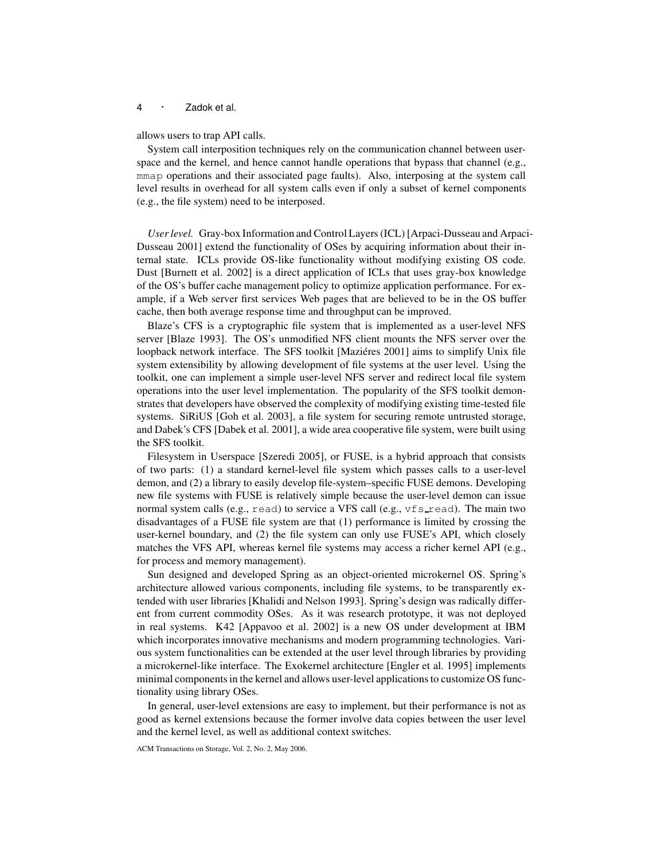allows users to trap API calls.

System call interposition techniques rely on the communication channel between userspace and the kernel, and hence cannot handle operations that bypass that channel (e.g., mmap operations and their associated page faults). Also, interposing at the system call level results in overhead for all system calls even if only a subset of kernel components (e.g., the file system) need to be interposed.

*User level.* Gray-box Information and Control Layers(ICL) [Arpaci-Dusseau and Arpaci-Dusseau 2001] extend the functionality of OSes by acquiring information about their internal state. ICLs provide OS-like functionality without modifying existing OS code. Dust [Burnett et al. 2002] is a direct application of ICLs that uses gray-box knowledge of the OS's buffer cache management policy to optimize application performance. For example, if a Web server first services Web pages that are believed to be in the OS buffer cache, then both average response time and throughput can be improved.

Blaze's CFS is a cryptographic file system that is implemented as a user-level NFS server [Blaze 1993]. The OS's unmodified NFS client mounts the NFS server over the loopback network interface. The SFS toolkit [Mazieres 2001] aims to simplify Unix file system extensibility by allowing development of file systems at the user level. Using the toolkit, one can implement a simple user-level NFS server and redirect local file system operations into the user level implementation. The popularity of the SFS toolkit demonstrates that developers have observed the complexity of modifying existing time-tested file systems. SiRiUS [Goh et al. 2003], a file system for securing remote untrusted storage, and Dabek's CFS [Dabek et al. 2001], a wide area cooperative file system, were built using the SFS toolkit.

Filesystem in Userspace [Szeredi 2005], or FUSE, is a hybrid approach that consists of two parts: (1) a standard kernel-level file system which passes calls to a user-level demon, and (2) a library to easily develop file-system–specific FUSE demons. Developing new file systems with FUSE is relatively simple because the user-level demon can issue normal system calls (e.g., read) to service a VFS call (e.g.,  $\nu$ fs read). The main two disadvantages of a FUSE file system are that (1) performance is limited by crossing the user-kernel boundary, and (2) the file system can only use FUSE's API, which closely matches the VFS API, whereas kernel file systems may access a richer kernel API (e.g., for process and memory management).

Sun designed and developed Spring as an object-oriented microkernel OS. Spring's architecture allowed various components, including file systems, to be transparently extended with user libraries [Khalidi and Nelson 1993]. Spring's design was radically different from current commodity OSes. As it was research prototype, it was not deployed in real systems. K42 [Appavoo et al. 2002] is a new OS under development at IBM which incorporates innovative mechanisms and modern programming technologies. Various system functionalities can be extended at the user level through libraries by providing a microkernel-like interface. The Exokernel architecture [Engler et al. 1995] implements minimal components in the kernel and allows user-level applications to customize OS functionality using library OSes.

In general, user-level extensions are easy to implement, but their performance is not as good as kernel extensions because the former involve data copies between the user level and the kernel level, as well as additional context switches.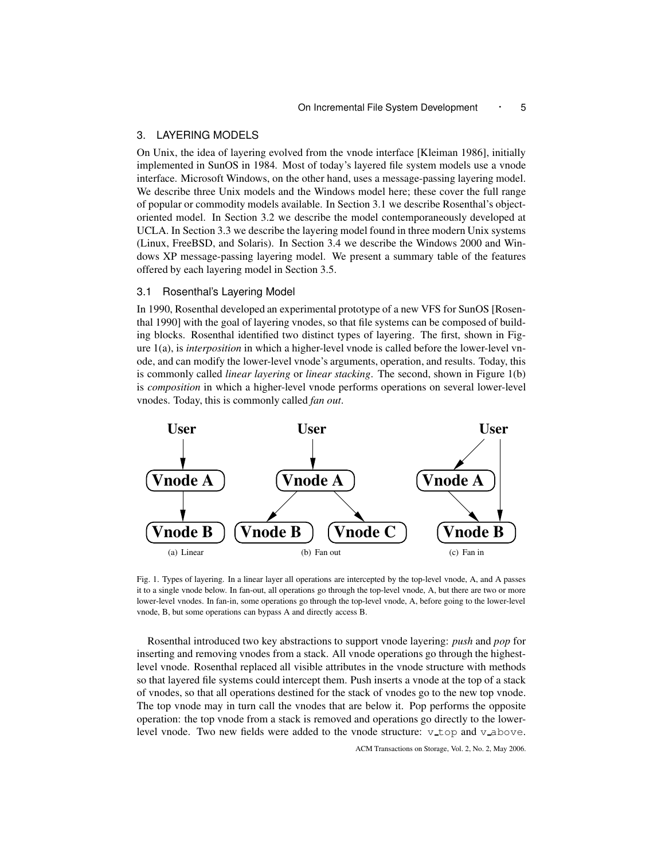### 3. LAYERING MODELS

On Unix, the idea of layering evolved from the vnode interface [Kleiman 1986], initially implemented in SunOS in 1984. Most of today's layered file system models use a vnode interface. Microsoft Windows, on the other hand, uses a message-passing layering model. We describe three Unix models and the Windows model here; these cover the full range of popular or commodity models available. In Section 3.1 we describe Rosenthal's objectoriented model. In Section 3.2 we describe the model contemporaneously developed at UCLA. In Section 3.3 we describe the layering model found in three modern Unix systems (Linux, FreeBSD, and Solaris). In Section 3.4 we describe the Windows 2000 and Windows XP message-passing layering model. We present a summary table of the features offered by each layering model in Section 3.5.

#### 3.1 Rosenthal's Layering Model

In 1990, Rosenthal developed an experimental prototype of a new VFS for SunOS [Rosenthal 1990] with the goal of layering vnodes, so that file systems can be composed of building blocks. Rosenthal identified two distinct types of layering. The first, shown in Figure 1(a), is *interposition* in which a higher-level vnode is called before the lower-level vnode, and can modify the lower-level vnode's arguments, operation, and results. Today, this is commonly called *linear layering* or *linear stacking*. The second, shown in Figure 1(b) is *composition* in which a higher-level vnode performs operations on several lower-level vnodes. Today, this is commonly called *fan out*.



Fig. 1. Types of layering. In a linear layer all operations are intercepted by the top-level vnode, A, and A passes it to a single vnode below. In fan-out, all operations go through the top-level vnode, A, but there are two or more lower-level vnodes. In fan-in, some operations go through the top-level vnode, A, before going to the lower-level vnode, B, but some operations can bypass A and directly access B.

Rosenthal introduced two key abstractions to support vnode layering: *push* and *pop* for inserting and removing vnodes from a stack. All vnode operations go through the highestlevel vnode. Rosenthal replaced all visible attributes in the vnode structure with methods so that layered file systems could intercept them. Push inserts a vnode at the top of a stack of vnodes, so that all operations destined for the stack of vnodes go to the new top vnode. The top vnode may in turn call the vnodes that are below it. Pop performs the opposite operation: the top vnode from a stack is removed and operations go directly to the lowerlevel vnode. Two new fields were added to the vnode structure: v\_top and v\_above.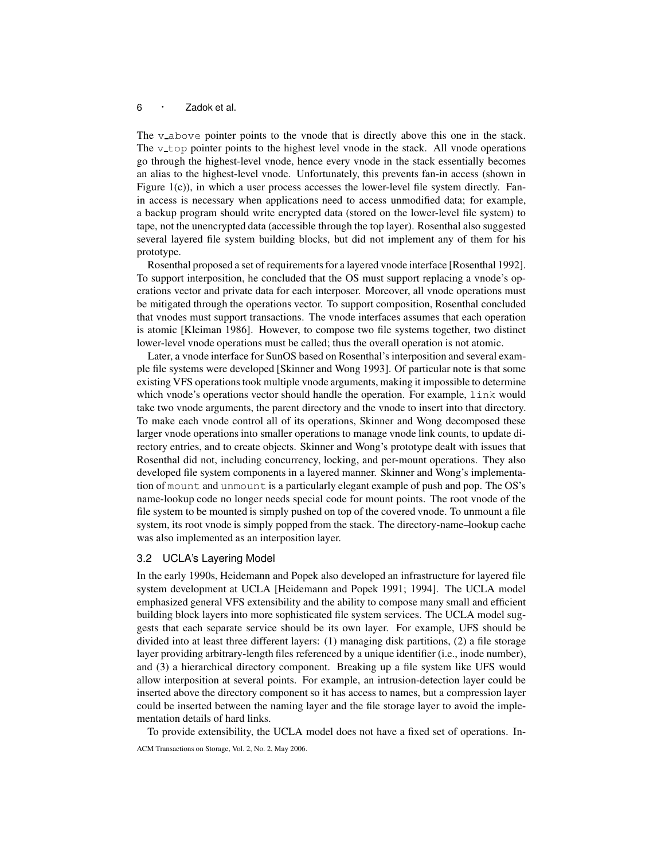The v<sub>-above</sub> pointer points to the vnode that is directly above this one in the stack. The  $v$  top pointer points to the highest level vnode in the stack. All vnode operations go through the highest-level vnode, hence every vnode in the stack essentially becomes an alias to the highest-level vnode. Unfortunately, this prevents fan-in access (shown in Figure 1(c)), in which a user process accesses the lower-level file system directly. Fanin access is necessary when applications need to access unmodified data; for example, a backup program should write encrypted data (stored on the lower-level file system) to tape, not the unencrypted data (accessible through the top layer). Rosenthal also suggested several layered file system building blocks, but did not implement any of them for his prototype.

Rosenthal proposed a set of requirementsfor a layered vnode interface [Rosenthal 1992]. To support interposition, he concluded that the OS must support replacing a vnode's operations vector and private data for each interposer. Moreover, all vnode operations must be mitigated through the operations vector. To support composition, Rosenthal concluded that vnodes must support transactions. The vnode interfaces assumes that each operation is atomic [Kleiman 1986]. However, to compose two file systems together, two distinct lower-level vnode operations must be called; thus the overall operation is not atomic.

Later, a vnode interface for SunOS based on Rosenthal's interposition and several example file systems were developed [Skinner and Wong 1993]. Of particular note is that some existing VFS operations took multiple vnode arguments, making it impossible to determine which vnode's operations vector should handle the operation. For example,  $link$  would take two vnode arguments, the parent directory and the vnode to insert into that directory. To make each vnode control all of its operations, Skinner and Wong decomposed these larger vnode operations into smaller operations to manage vnode link counts, to update directory entries, and to create objects. Skinner and Wong's prototype dealt with issues that Rosenthal did not, including concurrency, locking, and per-mount operations. They also developed file system components in a layered manner. Skinner and Wong's implementation of mount and unmount is a particularly elegant example of push and pop. The OS's name-lookup code no longer needs special code for mount points. The root vnode of the file system to be mounted is simply pushed on top of the covered vnode. To unmount a file system, its root vnode is simply popped from the stack. The directory-name–lookup cache was also implemented as an interposition layer.

#### 3.2 UCLA's Layering Model

In the early 1990s, Heidemann and Popek also developed an infrastructure for layered file system development at UCLA [Heidemann and Popek 1991; 1994]. The UCLA model emphasized general VFS extensibility and the ability to compose many small and efficient building block layers into more sophisticated file system services. The UCLA model suggests that each separate service should be its own layer. For example, UFS should be divided into at least three different layers: (1) managing disk partitions, (2) a file storage layer providing arbitrary-length files referenced by a unique identifier (i.e., inode number), and (3) a hierarchical directory component. Breaking up a file system like UFS would allow interposition at several points. For example, an intrusion-detection layer could be inserted above the directory component so it has access to names, but a compression layer could be inserted between the naming layer and the file storage layer to avoid the implementation details of hard links.

To provide extensibility, the UCLA model does not have a fixed set of operations. In-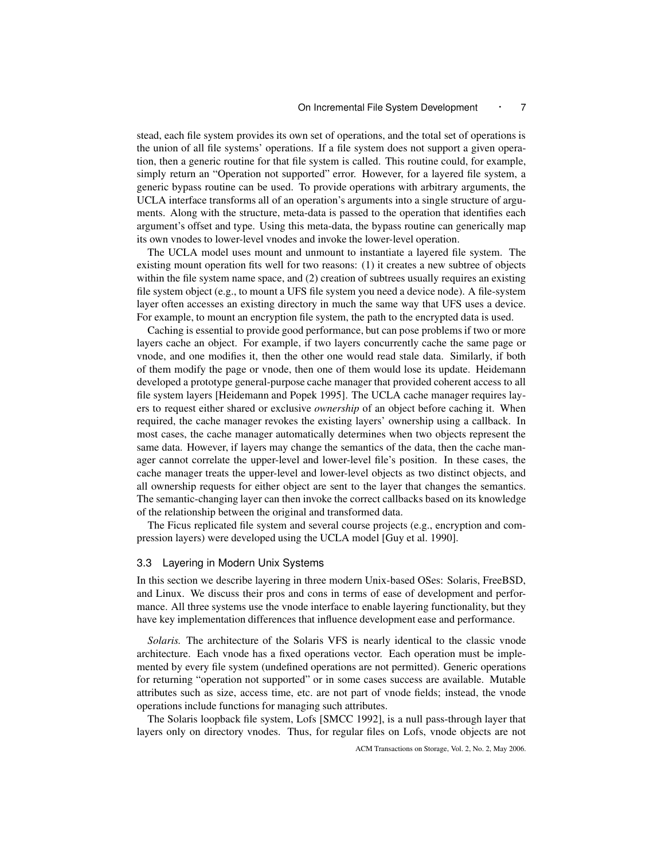stead, each file system provides its own set of operations, and the total set of operations is the union of all file systems' operations. If a file system does not support a given operation, then a generic routine for that file system is called. This routine could, for example, simply return an "Operation not supported" error. However, for a layered file system, a generic bypass routine can be used. To provide operations with arbitrary arguments, the UCLA interface transforms all of an operation's arguments into a single structure of arguments. Along with the structure, meta-data is passed to the operation that identifies each argument's offset and type. Using this meta-data, the bypass routine can generically map its own vnodes to lower-level vnodes and invoke the lower-level operation.

The UCLA model uses mount and unmount to instantiate a layered file system. The existing mount operation fits well for two reasons: (1) it creates a new subtree of objects within the file system name space, and  $(2)$  creation of subtrees usually requires an existing file system object (e.g., to mount a UFS file system you need a device node). A file-system layer often accesses an existing directory in much the same way that UFS uses a device. For example, to mount an encryption file system, the path to the encrypted data is used.

Caching is essential to provide good performance, but can pose problems if two or more layers cache an object. For example, if two layers concurrently cache the same page or vnode, and one modifies it, then the other one would read stale data. Similarly, if both of them modify the page or vnode, then one of them would lose its update. Heidemann developed a prototype general-purpose cache manager that provided coherent access to all file system layers [Heidemann and Popek 1995]. The UCLA cache manager requires layers to request either shared or exclusive *ownership* of an object before caching it. When required, the cache manager revokes the existing layers' ownership using a callback. In most cases, the cache manager automatically determines when two objects represent the same data. However, if layers may change the semantics of the data, then the cache manager cannot correlate the upper-level and lower-level file's position. In these cases, the cache manager treats the upper-level and lower-level objects as two distinct objects, and all ownership requests for either object are sent to the layer that changes the semantics. The semantic-changing layer can then invoke the correct callbacks based on its knowledge of the relationship between the original and transformed data.

The Ficus replicated file system and several course projects (e.g., encryption and compression layers) were developed using the UCLA model [Guy et al. 1990].

#### 3.3 Layering in Modern Unix Systems

In this section we describe layering in three modern Unix-based OSes: Solaris, FreeBSD, and Linux. We discuss their pros and cons in terms of ease of development and performance. All three systems use the vnode interface to enable layering functionality, but they have key implementation differences that influence development ease and performance.

*Solaris.* The architecture of the Solaris VFS is nearly identical to the classic vnode architecture. Each vnode has a fixed operations vector. Each operation must be implemented by every file system (undefined operations are not permitted). Generic operations for returning "operation not supported" or in some cases success are available. Mutable attributes such as size, access time, etc. are not part of vnode fields; instead, the vnode operations include functions for managing such attributes.

The Solaris loopback file system, Lofs [SMCC 1992], is a null pass-through layer that layers only on directory vnodes. Thus, for regular files on Lofs, vnode objects are not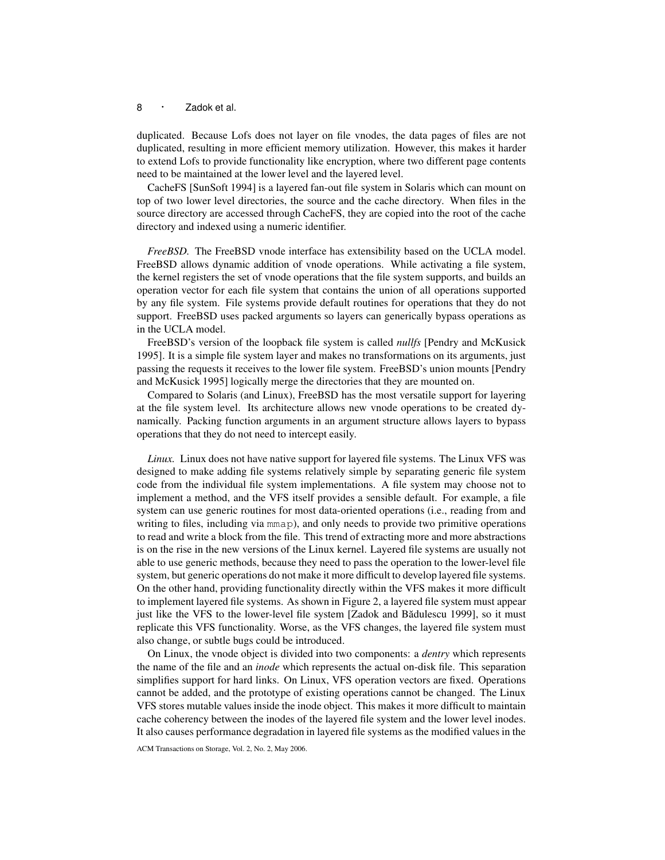duplicated. Because Lofs does not layer on file vnodes, the data pages of files are not duplicated, resulting in more efficient memory utilization. However, this makes it harder to extend Lofs to provide functionality like encryption, where two different page contents need to be maintained at the lower level and the layered level.

CacheFS [SunSoft 1994] is a layered fan-out file system in Solaris which can mount on top of two lower level directories, the source and the cache directory. When files in the source directory are accessed through CacheFS, they are copied into the root of the cache directory and indexed using a numeric identifier.

*FreeBSD.* The FreeBSD vnode interface has extensibility based on the UCLA model. FreeBSD allows dynamic addition of vnode operations. While activating a file system, the kernel registers the set of vnode operations that the file system supports, and builds an operation vector for each file system that contains the union of all operations supported by any file system. File systems provide default routines for operations that they do not support. FreeBSD uses packed arguments so layers can generically bypass operations as in the UCLA model.

FreeBSD's version of the loopback file system is called *nullfs* [Pendry and McKusick 1995]. It is a simple file system layer and makes no transformations on its arguments, just passing the requests it receives to the lower file system. FreeBSD's union mounts [Pendry and McKusick 1995] logically merge the directories that they are mounted on.

Compared to Solaris (and Linux), FreeBSD has the most versatile support for layering at the file system level. Its architecture allows new vnode operations to be created dynamically. Packing function arguments in an argument structure allows layers to bypass operations that they do not need to intercept easily.

*Linux.* Linux does not have native support for layered file systems. The Linux VFS was designed to make adding file systems relatively simple by separating generic file system code from the individual file system implementations. A file system may choose not to implement a method, and the VFS itself provides a sensible default. For example, a file system can use generic routines for most data-oriented operations (i.e., reading from and writing to files, including via mmap), and only needs to provide two primitive operations to read and write a block from the file. This trend of extracting more and more abstractions is on the rise in the new versions of the Linux kernel. Layered file systems are usually not able to use generic methods, because they need to pass the operation to the lower-level file system, but generic operations do not make it more difficult to develop layered file systems. On the other hand, providing functionality directly within the VFS makes it more difficult to implement layered file systems. As shown in Figure 2, a layered file system must appear just like the VFS to the lower-level file system [Zadok and Bădulescu 1999], so it must replicate this VFS functionality. Worse, as the VFS changes, the layered file system must also change, or subtle bugs could be introduced.

On Linux, the vnode object is divided into two components: a *dentry* which represents the name of the file and an *inode* which represents the actual on-disk file. This separation simplifies support for hard links. On Linux, VFS operation vectors are fixed. Operations cannot be added, and the prototype of existing operations cannot be changed. The Linux VFS stores mutable values inside the inode object. This makes it more difficult to maintain cache coherency between the inodes of the layered file system and the lower level inodes. It also causes performance degradation in layered file systems as the modified values in the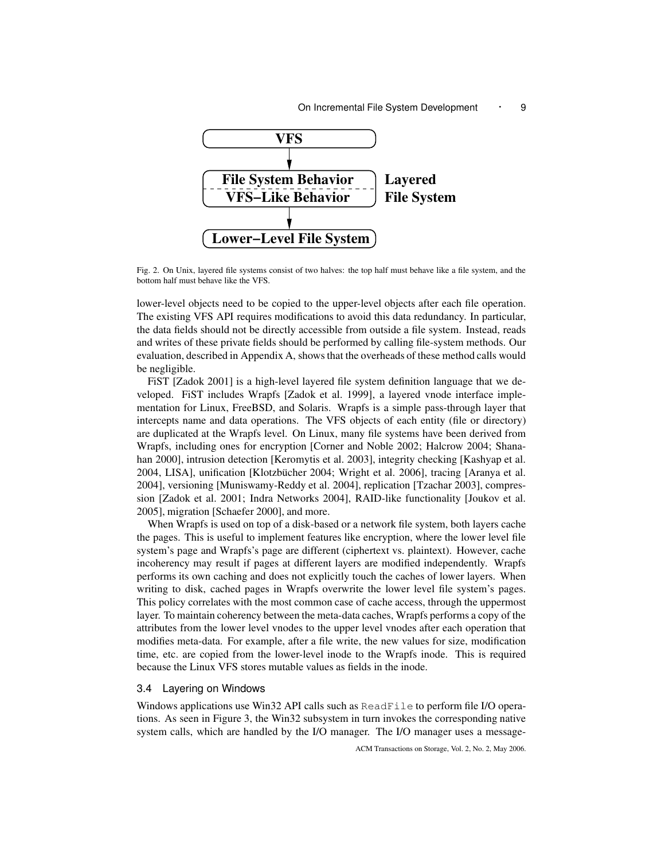

Fig. 2. On Unix, layered file systems consist of two halves: the top half must behave like a file system, and the bottom half must behave like the VFS.

lower-level objects need to be copied to the upper-level objects after each file operation. The existing VFS API requires modifications to avoid this data redundancy. In particular, the data fields should not be directly accessible from outside a file system. Instead, reads and writes of these private fields should be performed by calling file-system methods. Our evaluation, described in Appendix A, shows that the overheads of these method calls would be negligible.

FiST [Zadok 2001] is a high-level layered file system definition language that we developed. FiST includes Wrapfs [Zadok et al. 1999], a layered vnode interface implementation for Linux, FreeBSD, and Solaris. Wrapfs is a simple pass-through layer that intercepts name and data operations. The VFS objects of each entity (file or directory) are duplicated at the Wrapfs level. On Linux, many file systems have been derived from Wrapfs, including ones for encryption [Corner and Noble 2002; Halcrow 2004; Shanahan 2000], intrusion detection [Keromytis et al. 2003], integrity checking [Kashyap et al. 2004, LISA], unification [Klotzbücher 2004; Wright et al. 2006], tracing [Aranya et al. 2004], versioning [Muniswamy-Reddy et al. 2004], replication [Tzachar 2003], compression [Zadok et al. 2001; Indra Networks 2004], RAID-like functionality [Joukov et al. 2005], migration [Schaefer 2000], and more.

When Wrapfs is used on top of a disk-based or a network file system, both layers cache the pages. This is useful to implement features like encryption, where the lower level file system's page and Wrapfs's page are different (ciphertext vs. plaintext). However, cache incoherency may result if pages at different layers are modified independently. Wrapfs performs its own caching and does not explicitly touch the caches of lower layers. When writing to disk, cached pages in Wrapfs overwrite the lower level file system's pages. This policy correlates with the most common case of cache access, through the uppermost layer. To maintain coherency between the meta-data caches, Wrapfs performs a copy of the attributes from the lower level vnodes to the upper level vnodes after each operation that modifies meta-data. For example, after a file write, the new values for size, modification time, etc. are copied from the lower-level inode to the Wrapfs inode. This is required because the Linux VFS stores mutable values as fields in the inode.

#### 3.4 Layering on Windows

Windows applications use Win32 API calls such as ReadFile to perform file I/O operations. As seen in Figure 3, the Win32 subsystem in turn invokes the corresponding native system calls, which are handled by the I/O manager. The I/O manager uses a message-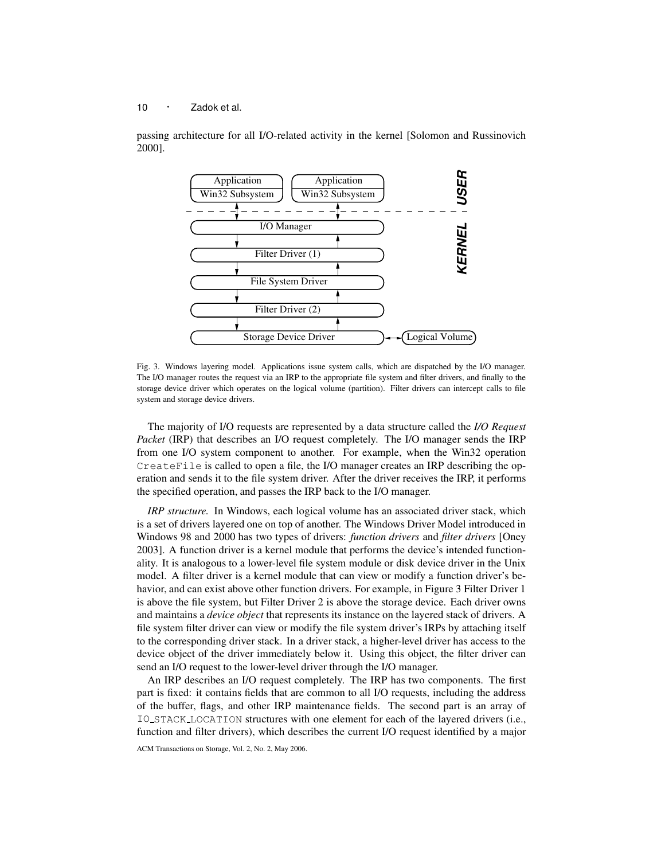passing architecture for all I/O-related activity in the kernel [Solomon and Russinovich 2000].



Fig. 3. Windows layering model. Applications issue system calls, which are dispatched by the I/O manager. The I/O manager routes the request via an IRP to the appropriate file system and filter drivers, and finally to the storage device driver which operates on the logical volume (partition). Filter drivers can intercept calls to file system and storage device drivers.

The majority of I/O requests are represented by a data structure called the *I/O Request Packet* (IRP) that describes an I/O request completely. The I/O manager sends the IRP from one I/O system component to another. For example, when the Win32 operation CreateFile is called to open a file, the I/O manager creates an IRP describing the operation and sends it to the file system driver. After the driver receives the IRP, it performs the specified operation, and passes the IRP back to the I/O manager.

*IRP structure.* In Windows, each logical volume has an associated driver stack, which is a set of drivers layered one on top of another. The Windows Driver Model introduced in Windows 98 and 2000 has two types of drivers: *function drivers* and *filter drivers* [Oney 2003]. A function driver is a kernel module that performs the device's intended functionality. It is analogous to a lower-level file system module or disk device driver in the Unix model. A filter driver is a kernel module that can view or modify a function driver's behavior, and can exist above other function drivers. For example, in Figure 3 Filter Driver 1 is above the file system, but Filter Driver 2 is above the storage device. Each driver owns and maintains a *device object* that represents its instance on the layered stack of drivers. A file system filter driver can view or modify the file system driver's IRPs by attaching itself to the corresponding driver stack. In a driver stack, a higher-level driver has access to the device object of the driver immediately below it. Using this object, the filter driver can send an I/O request to the lower-level driver through the I/O manager.

An IRP describes an I/O request completely. The IRP has two components. The first part is fixed: it contains fields that are common to all I/O requests, including the address of the buffer, flags, and other IRP maintenance fields. The second part is an array of IO STACK LOCATION structures with one element for each of the layered drivers (i.e., function and filter drivers), which describes the current I/O request identified by a major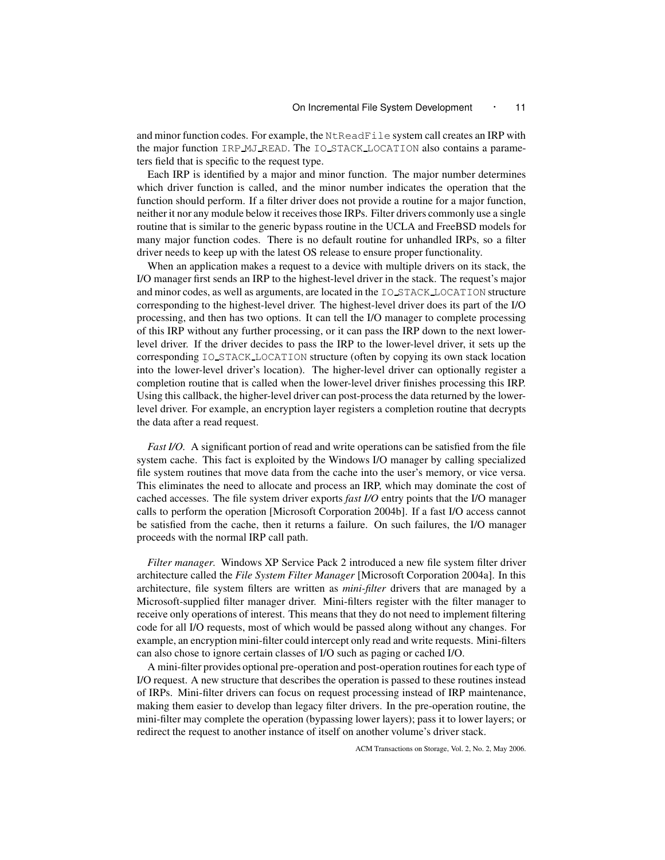and minor function codes. For example, the NtReadFile system call creates an IRP with the major function IRP MJ READ. The IO STACK LOCATION also contains a parameters field that is specific to the request type.

Each IRP is identified by a major and minor function. The major number determines which driver function is called, and the minor number indicates the operation that the function should perform. If a filter driver does not provide a routine for a major function, neither it nor any module below it receivesthose IRPs. Filter drivers commonly use a single routine that is similar to the generic bypass routine in the UCLA and FreeBSD models for many major function codes. There is no default routine for unhandled IRPs, so a filter driver needs to keep up with the latest OS release to ensure proper functionality.

When an application makes a request to a device with multiple drivers on its stack, the I/O manager first sends an IRP to the highest-level driver in the stack. The request's major and minor codes, as well as arguments, are located in the IO STACK LOCATION structure corresponding to the highest-level driver. The highest-level driver does its part of the I/O processing, and then has two options. It can tell the I/O manager to complete processing of this IRP without any further processing, or it can pass the IRP down to the next lowerlevel driver. If the driver decides to pass the IRP to the lower-level driver, it sets up the corresponding IO STACK LOCATION structure (often by copying its own stack location into the lower-level driver's location). The higher-level driver can optionally register a completion routine that is called when the lower-level driver finishes processing this IRP. Using this callback, the higher-level driver can post-process the data returned by the lowerlevel driver. For example, an encryption layer registers a completion routine that decrypts the data after a read request.

*Fast I/O.* A significant portion of read and write operations can be satisfied from the file system cache. This fact is exploited by the Windows I/O manager by calling specialized file system routines that move data from the cache into the user's memory, or vice versa. This eliminates the need to allocate and process an IRP, which may dominate the cost of cached accesses. The file system driver exports *fast I/O* entry points that the I/O manager calls to perform the operation [Microsoft Corporation 2004b]. If a fast I/O access cannot be satisfied from the cache, then it returns a failure. On such failures, the I/O manager proceeds with the normal IRP call path.

*Filter manager.* Windows XP Service Pack 2 introduced a new file system filter driver architecture called the *File System Filter Manager* [Microsoft Corporation 2004a]. In this architecture, file system filters are written as *mini-filter* drivers that are managed by a Microsoft-supplied filter manager driver. Mini-filters register with the filter manager to receive only operations of interest. This means that they do not need to implement filtering code for all I/O requests, most of which would be passed along without any changes. For example, an encryption mini-filter could intercept only read and write requests. Mini-filters can also chose to ignore certain classes of I/O such as paging or cached I/O.

A mini-filter provides optional pre-operation and post-operation routinesfor each type of I/O request. A new structure that describes the operation is passed to these routines instead of IRPs. Mini-filter drivers can focus on request processing instead of IRP maintenance, making them easier to develop than legacy filter drivers. In the pre-operation routine, the mini-filter may complete the operation (bypassing lower layers); pass it to lower layers; or redirect the request to another instance of itself on another volume's driver stack.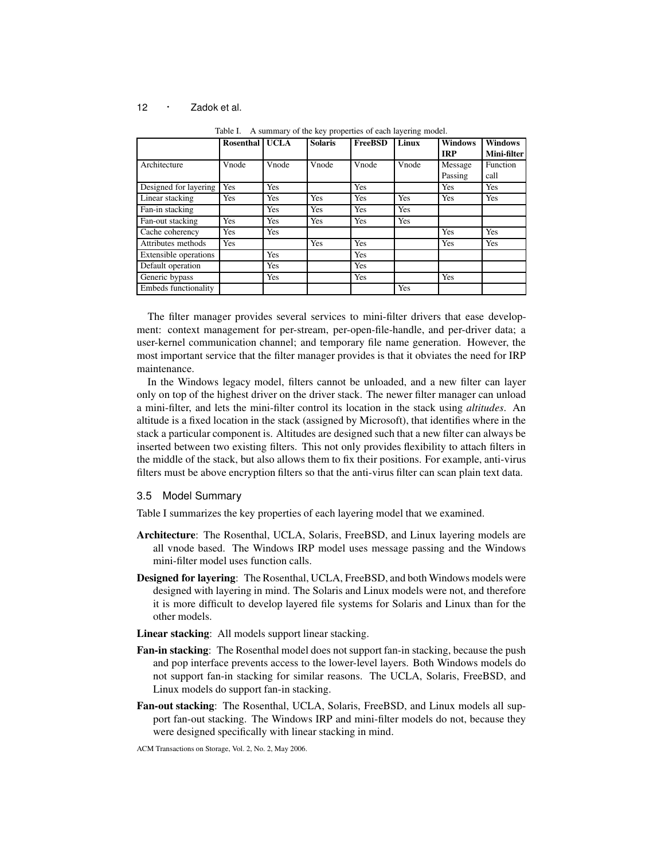|                              | <b>Rosenthal   UCLA</b> |       | <b>Solaris</b> | <b>FreeBSD</b> | Linux | <b>Windows</b> | <b>Windows</b> |
|------------------------------|-------------------------|-------|----------------|----------------|-------|----------------|----------------|
|                              |                         |       |                |                |       | <b>IRP</b>     | Mini-filter    |
| Architecture                 | Vnode                   | Vnode | Vnode          | Vnode          | Vnode | Message        | Function       |
|                              |                         |       |                |                |       | Passing        | call           |
| Designed for layering        | Yes                     | Yes   |                | Yes            |       | Yes            | Yes            |
| Linear stacking              | Yes                     | Yes   | Yes            | Yes            | Yes   | Yes            | Yes            |
| Fan-in stacking              |                         | Yes   | Yes            | Yes            | Yes   |                |                |
| Fan-out stacking             | Yes                     | Yes   | Yes            | Yes            | Yes   |                |                |
| Cache coherency              | Yes                     | Yes   |                |                |       | Yes            | Yes            |
| Attributes methods           | Yes                     |       | Yes            | Yes            |       | Yes            | Yes            |
| <b>Extensible operations</b> |                         | Yes   |                | Yes            |       |                |                |
| Default operation            |                         | Yes   |                | Yes            |       |                |                |
| Generic bypass               |                         | Yes   |                | Yes            |       | Yes            |                |
| <b>Embeds functionality</b>  |                         |       |                |                | Yes   |                |                |

Table I. A summary of the key properties of each layering model.

The filter manager provides several services to mini-filter drivers that ease development: context management for per-stream, per-open-file-handle, and per-driver data; a user-kernel communication channel; and temporary file name generation. However, the most important service that the filter manager provides is that it obviates the need for IRP maintenance.

In the Windows legacy model, filters cannot be unloaded, and a new filter can layer only on top of the highest driver on the driver stack. The newer filter manager can unload a mini-filter, and lets the mini-filter control its location in the stack using *altitudes*. An altitude is a fixed location in the stack (assigned by Microsoft), that identifies where in the stack a particular component is. Altitudes are designed such that a new filter can always be inserted between two existing filters. This not only provides flexibility to attach filters in the middle of the stack, but also allows them to fix their positions. For example, anti-virus filters must be above encryption filters so that the anti-virus filter can scan plain text data.

#### 3.5 Model Summary

Table I summarizes the key properties of each layering model that we examined.

- **Architecture**: The Rosenthal, UCLA, Solaris, FreeBSD, and Linux layering models are all vnode based. The Windows IRP model uses message passing and the Windows mini-filter model uses function calls.
- **Designed for layering**: The Rosenthal, UCLA, FreeBSD, and both Windows models were designed with layering in mind. The Solaris and Linux models were not, and therefore it is more difficult to develop layered file systems for Solaris and Linux than for the other models.
- **Linear stacking**: All models support linear stacking.
- **Fan-in stacking**: The Rosenthal model does not support fan-in stacking, because the push and pop interface prevents access to the lower-level layers. Both Windows models do not support fan-in stacking for similar reasons. The UCLA, Solaris, FreeBSD, and Linux models do support fan-in stacking.
- **Fan-out stacking**: The Rosenthal, UCLA, Solaris, FreeBSD, and Linux models all support fan-out stacking. The Windows IRP and mini-filter models do not, because they were designed specifically with linear stacking in mind.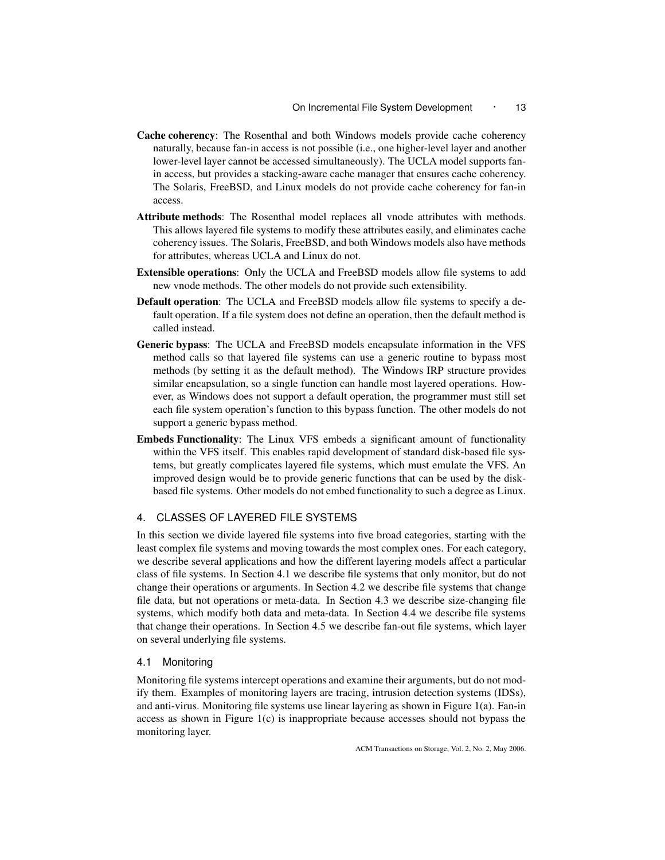- **Cache coherency**: The Rosenthal and both Windows models provide cache coherency naturally, because fan-in access is not possible (i.e., one higher-level layer and another lower-level layer cannot be accessed simultaneously). The UCLA model supports fanin access, but provides a stacking-aware cache manager that ensures cache coherency. The Solaris, FreeBSD, and Linux models do not provide cache coherency for fan-in access.
- **Attribute methods**: The Rosenthal model replaces all vnode attributes with methods. This allows layered file systems to modify these attributes easily, and eliminates cache coherency issues. The Solaris, FreeBSD, and both Windows models also have methods for attributes, whereas UCLA and Linux do not.
- **Extensible operations**: Only the UCLA and FreeBSD models allow file systems to add new vnode methods. The other models do not provide such extensibility.
- **Default operation**: The UCLA and FreeBSD models allow file systems to specify a default operation. If a file system does not define an operation, then the default method is called instead.
- **Generic bypass**: The UCLA and FreeBSD models encapsulate information in the VFS method calls so that layered file systems can use a generic routine to bypass most methods (by setting it as the default method). The Windows IRP structure provides similar encapsulation, so a single function can handle most layered operations. However, as Windows does not support a default operation, the programmer must still set each file system operation's function to this bypass function. The other models do not support a generic bypass method.
- **Embeds Functionality**: The Linux VFS embeds a significant amount of functionality within the VFS itself. This enables rapid development of standard disk-based file systems, but greatly complicates layered file systems, which must emulate the VFS. An improved design would be to provide generic functions that can be used by the diskbased file systems. Other models do not embed functionality to such a degree as Linux.

## 4. CLASSES OF LAYERED FILE SYSTEMS

In this section we divide layered file systems into five broad categories, starting with the least complex file systems and moving towards the most complex ones. For each category, we describe several applications and how the different layering models affect a particular class of file systems. In Section 4.1 we describe file systems that only monitor, but do not change their operations or arguments. In Section 4.2 we describe file systems that change file data, but not operations or meta-data. In Section 4.3 we describe size-changing file systems, which modify both data and meta-data. In Section 4.4 we describe file systems that change their operations. In Section 4.5 we describe fan-out file systems, which layer on several underlying file systems.

## 4.1 Monitoring

Monitoring file systems intercept operations and examine their arguments, but do not modify them. Examples of monitoring layers are tracing, intrusion detection systems (IDSs), and anti-virus. Monitoring file systems use linear layering as shown in Figure 1(a). Fan-in access as shown in Figure  $1(c)$  is inappropriate because accesses should not bypass the monitoring layer.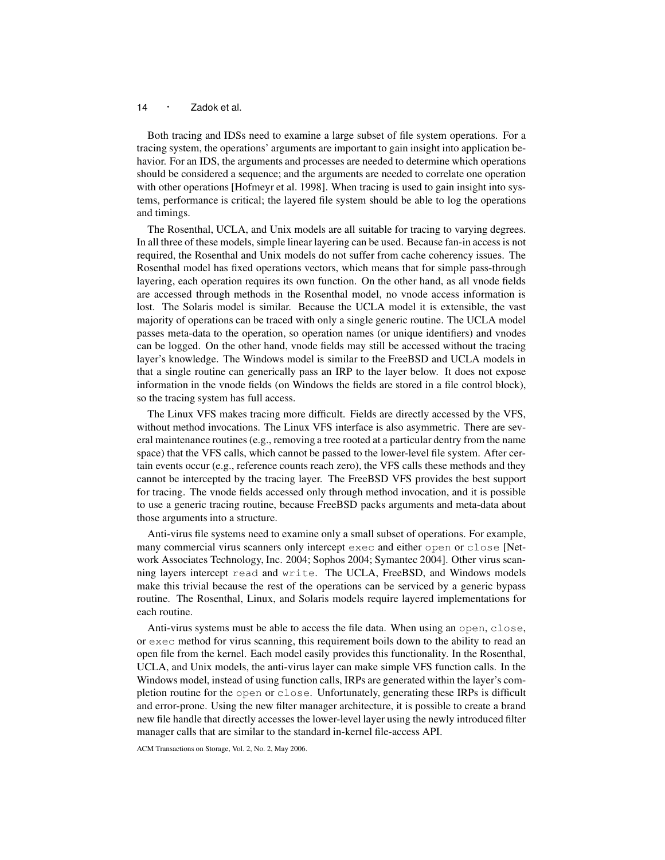Both tracing and IDSs need to examine a large subset of file system operations. For a tracing system, the operations' arguments are important to gain insight into application behavior. For an IDS, the arguments and processes are needed to determine which operations should be considered a sequence; and the arguments are needed to correlate one operation with other operations [Hofmeyr et al. 1998]. When tracing is used to gain insight into systems, performance is critical; the layered file system should be able to log the operations and timings.

The Rosenthal, UCLA, and Unix models are all suitable for tracing to varying degrees. In all three of these models, simple linear layering can be used. Because fan-in access is not required, the Rosenthal and Unix models do not suffer from cache coherency issues. The Rosenthal model has fixed operations vectors, which means that for simple pass-through layering, each operation requires its own function. On the other hand, as all vnode fields are accessed through methods in the Rosenthal model, no vnode access information is lost. The Solaris model is similar. Because the UCLA model it is extensible, the vast majority of operations can be traced with only a single generic routine. The UCLA model passes meta-data to the operation, so operation names (or unique identifiers) and vnodes can be logged. On the other hand, vnode fields may still be accessed without the tracing layer's knowledge. The Windows model is similar to the FreeBSD and UCLA models in that a single routine can generically pass an IRP to the layer below. It does not expose information in the vnode fields (on Windows the fields are stored in a file control block), so the tracing system has full access.

The Linux VFS makes tracing more difficult. Fields are directly accessed by the VFS, without method invocations. The Linux VFS interface is also asymmetric. There are several maintenance routines (e.g., removing a tree rooted at a particular dentry from the name space) that the VFS calls, which cannot be passed to the lower-level file system. After certain events occur (e.g., reference counts reach zero), the VFS calls these methods and they cannot be intercepted by the tracing layer. The FreeBSD VFS provides the best support for tracing. The vnode fields accessed only through method invocation, and it is possible to use a generic tracing routine, because FreeBSD packs arguments and meta-data about those arguments into a structure.

Anti-virus file systems need to examine only a small subset of operations. For example, many commercial virus scanners only intercept exec and either open or close [Network Associates Technology, Inc. 2004; Sophos 2004; Symantec 2004]. Other virus scanning layers intercept read and write. The UCLA, FreeBSD, and Windows models make this trivial because the rest of the operations can be serviced by a generic bypass routine. The Rosenthal, Linux, and Solaris models require layered implementations for each routine.

Anti-virus systems must be able to access the file data. When using an open, close, or exec method for virus scanning, this requirement boils down to the ability to read an open file from the kernel. Each model easily provides this functionality. In the Rosenthal, UCLA, and Unix models, the anti-virus layer can make simple VFS function calls. In the Windows model, instead of using function calls, IRPs are generated within the layer's completion routine for the open or close. Unfortunately, generating these IRPs is difficult and error-prone. Using the new filter manager architecture, it is possible to create a brand new file handle that directly accesses the lower-level layer using the newly introduced filter manager calls that are similar to the standard in-kernel file-access API.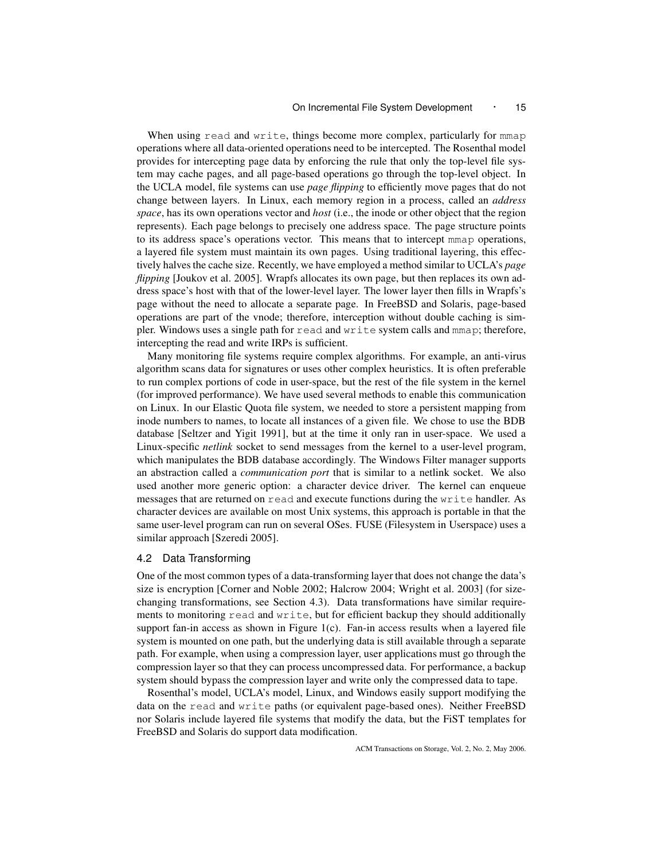When using read and write, things become more complex, particularly for mmap operations where all data-oriented operations need to be intercepted. The Rosenthal model provides for intercepting page data by enforcing the rule that only the top-level file system may cache pages, and all page-based operations go through the top-level object. In the UCLA model, file systems can use *page flipping* to efficiently move pages that do not change between layers. In Linux, each memory region in a process, called an *address space*, has its own operations vector and *host* (i.e., the inode or other object that the region represents). Each page belongs to precisely one address space. The page structure points to its address space's operations vector. This means that to intercept mmap operations, a layered file system must maintain its own pages. Using traditional layering, this effectively halves the cache size. Recently, we have employed a method similar to UCLA's *page flipping* [Joukov et al. 2005]. Wrapfs allocates its own page, but then replaces its own address space's host with that of the lower-level layer. The lower layer then fills in Wrapfs's page without the need to allocate a separate page. In FreeBSD and Solaris, page-based operations are part of the vnode; therefore, interception without double caching is simpler. Windows uses a single path for read and write system calls and mmap; therefore, intercepting the read and write IRPs is sufficient.

Many monitoring file systems require complex algorithms. For example, an anti-virus algorithm scans data for signatures or uses other complex heuristics. It is often preferable to run complex portions of code in user-space, but the rest of the file system in the kernel (for improved performance). We have used several methods to enable this communication on Linux. In our Elastic Quota file system, we needed to store a persistent mapping from inode numbers to names, to locate all instances of a given file. We chose to use the BDB database [Seltzer and Yigit 1991], but at the time it only ran in user-space. We used a Linux-specific *netlink* socket to send messages from the kernel to a user-level program, which manipulates the BDB database accordingly. The Windows Filter manager supports an abstraction called a *communication port* that is similar to a netlink socket. We also used another more generic option: a character device driver. The kernel can enqueue messages that are returned on read and execute functions during the write handler. As character devices are available on most Unix systems, this approach is portable in that the same user-level program can run on several OSes. FUSE (Filesystem in Userspace) uses a similar approach [Szeredi 2005].

#### 4.2 Data Transforming

One of the most common types of a data-transforming layer that does not change the data's size is encryption [Corner and Noble 2002; Halcrow 2004; Wright et al. 2003] (for sizechanging transformations, see Section 4.3). Data transformations have similar requirements to monitoring read and write, but for efficient backup they should additionally support fan-in access as shown in Figure 1(c). Fan-in access results when a layered file system is mounted on one path, but the underlying data is still available through a separate path. For example, when using a compression layer, user applications must go through the compression layer so that they can process uncompressed data. For performance, a backup system should bypass the compression layer and write only the compressed data to tape.

Rosenthal's model, UCLA's model, Linux, and Windows easily support modifying the data on the read and write paths (or equivalent page-based ones). Neither FreeBSD nor Solaris include layered file systems that modify the data, but the FiST templates for FreeBSD and Solaris do support data modification.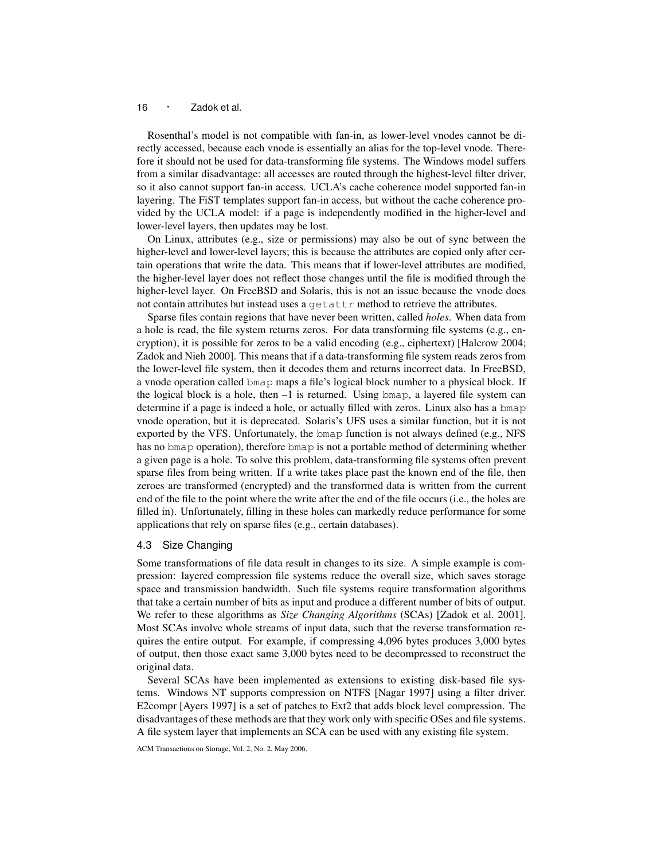Rosenthal's model is not compatible with fan-in, as lower-level vnodes cannot be directly accessed, because each vnode is essentially an alias for the top-level vnode. Therefore it should not be used for data-transforming file systems. The Windows model suffers from a similar disadvantage: all accesses are routed through the highest-level filter driver, so it also cannot support fan-in access. UCLA's cache coherence model supported fan-in layering. The FiST templates support fan-in access, but without the cache coherence provided by the UCLA model: if a page is independently modified in the higher-level and lower-level layers, then updates may be lost.

On Linux, attributes (e.g., size or permissions) may also be out of sync between the higher-level and lower-level layers; this is because the attributes are copied only after certain operations that write the data. This means that if lower-level attributes are modified, the higher-level layer does not reflect those changes until the file is modified through the higher-level layer. On FreeBSD and Solaris, this is not an issue because the vnode does not contain attributes but instead uses a getattr method to retrieve the attributes.

Sparse files contain regions that have never been written, called *holes*. When data from a hole is read, the file system returns zeros. For data transforming file systems (e.g., encryption), it is possible for zeros to be a valid encoding (e.g., ciphertext) [Halcrow 2004; Zadok and Nieh 2000]. This means that if a data-transforming file system reads zeros from the lower-level file system, then it decodes them and returns incorrect data. In FreeBSD, a vnode operation called bmap maps a file's logical block number to a physical block. If the logical block is a hole, then  $-1$  is returned. Using bmap, a layered file system can determine if a page is indeed a hole, or actually filled with zeros. Linux also has a bmap vnode operation, but it is deprecated. Solaris's UFS uses a similar function, but it is not exported by the VFS. Unfortunately, the bmap function is not always defined (e.g., NFS has no bmap operation), therefore bmap is not a portable method of determining whether a given page is a hole. To solve this problem, data-transforming file systems often prevent sparse files from being written. If a write takes place past the known end of the file, then zeroes are transformed (encrypted) and the transformed data is written from the current end of the file to the point where the write after the end of the file occurs (i.e., the holes are filled in). Unfortunately, filling in these holes can markedly reduce performance for some applications that rely on sparse files (e.g., certain databases).

#### 4.3 Size Changing

Some transformations of file data result in changes to its size. A simple example is compression: layered compression file systems reduce the overall size, which saves storage space and transmission bandwidth. Such file systems require transformation algorithms that take a certain number of bits as input and produce a different number of bits of output. We refer to these algorithms as *Size Changing Algorithms* (SCAs) [Zadok et al. 2001]. Most SCAs involve whole streams of input data, such that the reverse transformation requires the entire output. For example, if compressing 4,096 bytes produces 3,000 bytes of output, then those exact same 3,000 bytes need to be decompressed to reconstruct the original data.

Several SCAs have been implemented as extensions to existing disk-based file systems. Windows NT supports compression on NTFS [Nagar 1997] using a filter driver. E2compr [Ayers 1997] is a set of patches to Ext2 that adds block level compression. The disadvantages of these methods are that they work only with specific OSes and file systems. A file system layer that implements an SCA can be used with any existing file system.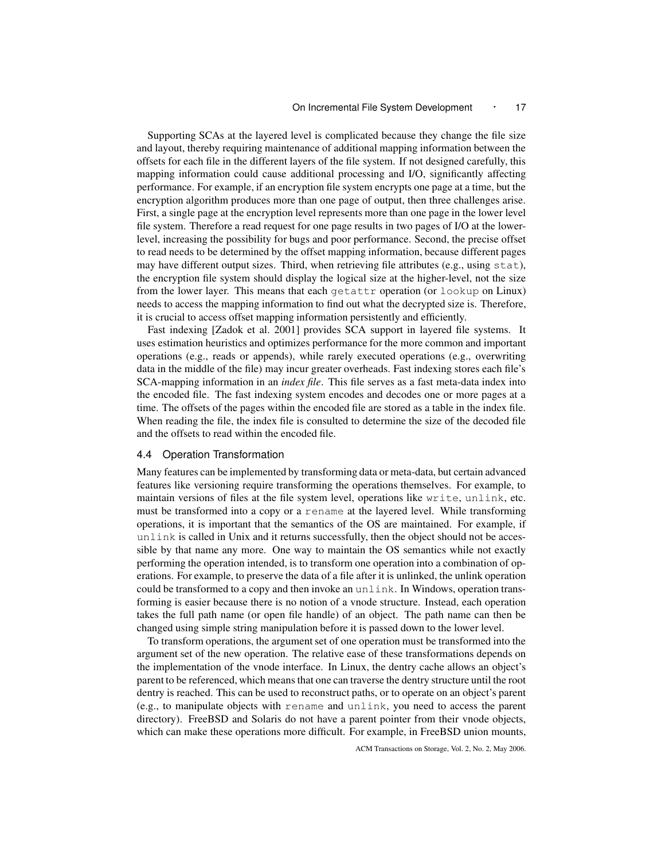Supporting SCAs at the layered level is complicated because they change the file size and layout, thereby requiring maintenance of additional mapping information between the offsets for each file in the different layers of the file system. If not designed carefully, this mapping information could cause additional processing and I/O, significantly affecting performance. For example, if an encryption file system encrypts one page at a time, but the encryption algorithm produces more than one page of output, then three challenges arise. First, a single page at the encryption level represents more than one page in the lower level file system. Therefore a read request for one page results in two pages of I/O at the lowerlevel, increasing the possibility for bugs and poor performance. Second, the precise offset to read needs to be determined by the offset mapping information, because different pages may have different output sizes. Third, when retrieving file attributes (e.g., using stat), the encryption file system should display the logical size at the higher-level, not the size from the lower layer. This means that each getattr operation (or lookup on Linux) needs to access the mapping information to find out what the decrypted size is. Therefore, it is crucial to access offset mapping information persistently and efficiently.

Fast indexing [Zadok et al. 2001] provides SCA support in layered file systems. It uses estimation heuristics and optimizes performance for the more common and important operations (e.g., reads or appends), while rarely executed operations (e.g., overwriting data in the middle of the file) may incur greater overheads. Fast indexing stores each file's SCA-mapping information in an *index file*. This file serves as a fast meta-data index into the encoded file. The fast indexing system encodes and decodes one or more pages at a time. The offsets of the pages within the encoded file are stored as a table in the index file. When reading the file, the index file is consulted to determine the size of the decoded file and the offsets to read within the encoded file.

#### 4.4 Operation Transformation

Many features can be implemented by transforming data or meta-data, but certain advanced features like versioning require transforming the operations themselves. For example, to maintain versions of files at the file system level, operations like write, unlink, etc. must be transformed into a copy or a rename at the layered level. While transforming operations, it is important that the semantics of the OS are maintained. For example, if unlink is called in Unix and it returns successfully, then the object should not be accessible by that name any more. One way to maintain the OS semantics while not exactly performing the operation intended, is to transform one operation into a combination of operations. For example, to preserve the data of a file after it is unlinked, the unlink operation could be transformed to a copy and then invoke an unlink. In Windows, operation transforming is easier because there is no notion of a vnode structure. Instead, each operation takes the full path name (or open file handle) of an object. The path name can then be changed using simple string manipulation before it is passed down to the lower level.

To transform operations, the argument set of one operation must be transformed into the argument set of the new operation. The relative ease of these transformations depends on the implementation of the vnode interface. In Linux, the dentry cache allows an object's parent to be referenced, which means that one can traverse the dentry structure until the root dentry is reached. This can be used to reconstruct paths, or to operate on an object's parent (e.g., to manipulate objects with rename and unlink, you need to access the parent directory). FreeBSD and Solaris do not have a parent pointer from their vnode objects, which can make these operations more difficult. For example, in FreeBSD union mounts,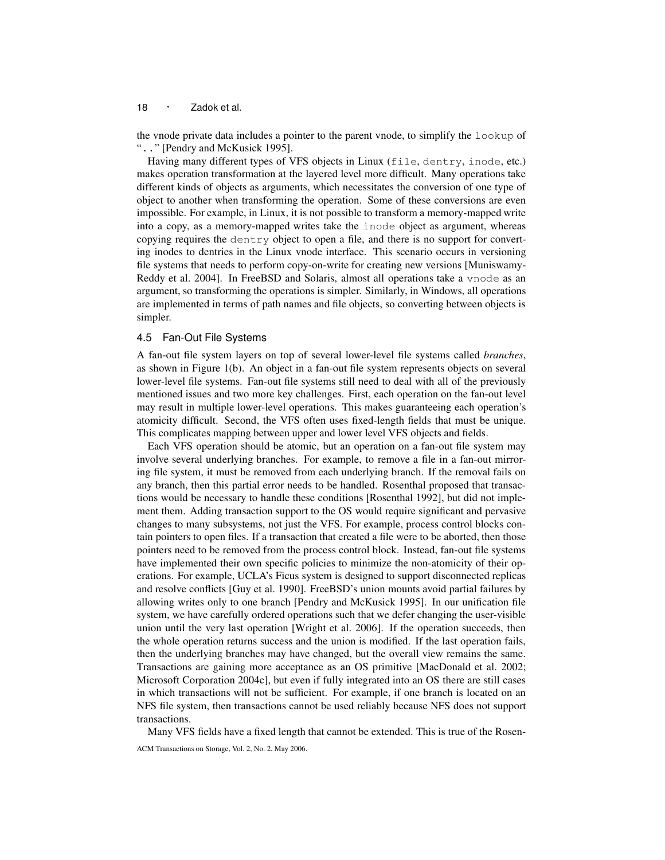the vnode private data includes a pointer to the parent vnode, to simplify the lookup of ".." [Pendry and McKusick 1995].

Having many different types of VFS objects in Linux (file, dentry, inode, etc.) makes operation transformation at the layered level more difficult. Many operations take different kinds of objects as arguments, which necessitates the conversion of one type of object to another when transforming the operation. Some of these conversions are even impossible. For example, in Linux, it is not possible to transform a memory-mapped write into a copy, as a memory-mapped writes take the inode object as argument, whereas copying requires the dentry object to open a file, and there is no support for converting inodes to dentries in the Linux vnode interface. This scenario occurs in versioning file systems that needs to perform copy-on-write for creating new versions [Muniswamy-Reddy et al. 2004]. In FreeBSD and Solaris, almost all operations take a vnode as an argument, so transforming the operations is simpler. Similarly, in Windows, all operations are implemented in terms of path names and file objects, so converting between objects is simpler.

#### 4.5 Fan-Out File Systems

A fan-out file system layers on top of several lower-level file systems called *branches*, as shown in Figure 1(b). An object in a fan-out file system represents objects on several lower-level file systems. Fan-out file systems still need to deal with all of the previously mentioned issues and two more key challenges. First, each operation on the fan-out level may result in multiple lower-level operations. This makes guaranteeing each operation's atomicity difficult. Second, the VFS often uses fixed-length fields that must be unique. This complicates mapping between upper and lower level VFS objects and fields.

Each VFS operation should be atomic, but an operation on a fan-out file system may involve several underlying branches. For example, to remove a file in a fan-out mirroring file system, it must be removed from each underlying branch. If the removal fails on any branch, then this partial error needs to be handled. Rosenthal proposed that transactions would be necessary to handle these conditions [Rosenthal 1992], but did not implement them. Adding transaction support to the OS would require significant and pervasive changes to many subsystems, not just the VFS. For example, process control blocks contain pointers to open files. If a transaction that created a file were to be aborted, then those pointers need to be removed from the process control block. Instead, fan-out file systems have implemented their own specific policies to minimize the non-atomicity of their operations. For example, UCLA's Ficus system is designed to support disconnected replicas and resolve conflicts [Guy et al. 1990]. FreeBSD's union mounts avoid partial failures by allowing writes only to one branch [Pendry and McKusick 1995]. In our unification file system, we have carefully ordered operations such that we defer changing the user-visible union until the very last operation [Wright et al. 2006]. If the operation succeeds, then the whole operation returns success and the union is modified. If the last operation fails, then the underlying branches may have changed, but the overall view remains the same. Transactions are gaining more acceptance as an OS primitive [MacDonald et al. 2002; Microsoft Corporation 2004c], but even if fully integrated into an OS there are still cases in which transactions will not be sufficient. For example, if one branch is located on an NFS file system, then transactions cannot be used reliably because NFS does not support transactions.

Many VFS fields have a fixed length that cannot be extended. This is true of the Rosen-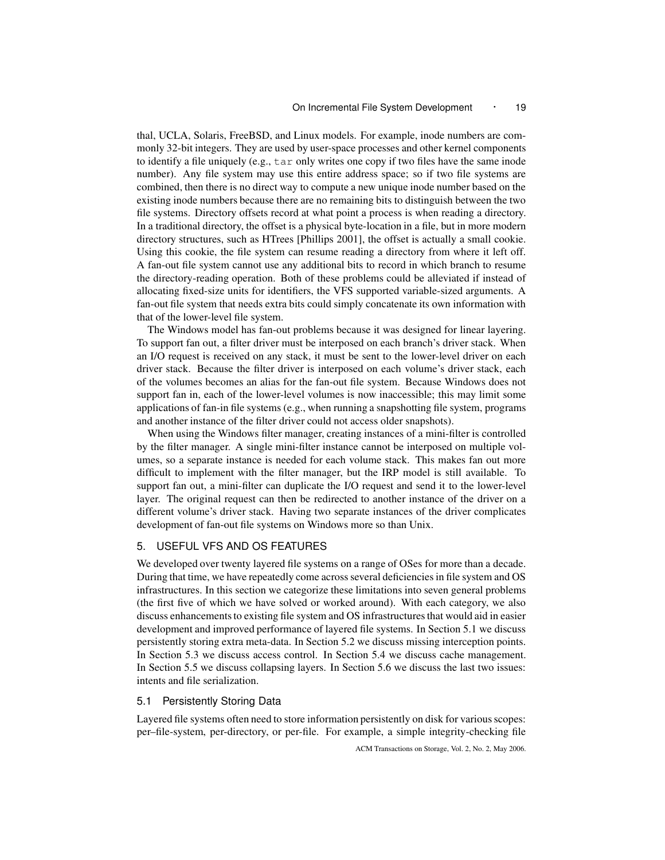thal, UCLA, Solaris, FreeBSD, and Linux models. For example, inode numbers are commonly 32-bit integers. They are used by user-space processes and other kernel components to identify a file uniquely (e.g., tar only writes one copy if two files have the same inode number). Any file system may use this entire address space; so if two file systems are combined, then there is no direct way to compute a new unique inode number based on the existing inode numbers because there are no remaining bits to distinguish between the two file systems. Directory offsets record at what point a process is when reading a directory. In a traditional directory, the offset is a physical byte-location in a file, but in more modern directory structures, such as HTrees [Phillips 2001], the offset is actually a small cookie. Using this cookie, the file system can resume reading a directory from where it left off. A fan-out file system cannot use any additional bits to record in which branch to resume the directory-reading operation. Both of these problems could be alleviated if instead of allocating fixed-size units for identifiers, the VFS supported variable-sized arguments. A fan-out file system that needs extra bits could simply concatenate its own information with that of the lower-level file system.

The Windows model has fan-out problems because it was designed for linear layering. To support fan out, a filter driver must be interposed on each branch's driver stack. When an I/O request is received on any stack, it must be sent to the lower-level driver on each driver stack. Because the filter driver is interposed on each volume's driver stack, each of the volumes becomes an alias for the fan-out file system. Because Windows does not support fan in, each of the lower-level volumes is now inaccessible; this may limit some applications of fan-in file systems (e.g., when running a snapshotting file system, programs and another instance of the filter driver could not access older snapshots).

When using the Windows filter manager, creating instances of a mini-filter is controlled by the filter manager. A single mini-filter instance cannot be interposed on multiple volumes, so a separate instance is needed for each volume stack. This makes fan out more difficult to implement with the filter manager, but the IRP model is still available. To support fan out, a mini-filter can duplicate the I/O request and send it to the lower-level layer. The original request can then be redirected to another instance of the driver on a different volume's driver stack. Having two separate instances of the driver complicates development of fan-out file systems on Windows more so than Unix.

#### 5. USEFUL VFS AND OS FEATURES

We developed over twenty layered file systems on a range of OSes for more than a decade. During that time, we have repeatedly come across several deficiencies in file system and OS infrastructures. In this section we categorize these limitations into seven general problems (the first five of which we have solved or worked around). With each category, we also discuss enhancements to existing file system and OS infrastructures that would aid in easier development and improved performance of layered file systems. In Section 5.1 we discuss persistently storing extra meta-data. In Section 5.2 we discuss missing interception points. In Section 5.3 we discuss access control. In Section 5.4 we discuss cache management. In Section 5.5 we discuss collapsing layers. In Section 5.6 we discuss the last two issues: intents and file serialization.

#### 5.1 Persistently Storing Data

Layered file systems often need to store information persistently on disk for various scopes: per–file-system, per-directory, or per-file. For example, a simple integrity-checking file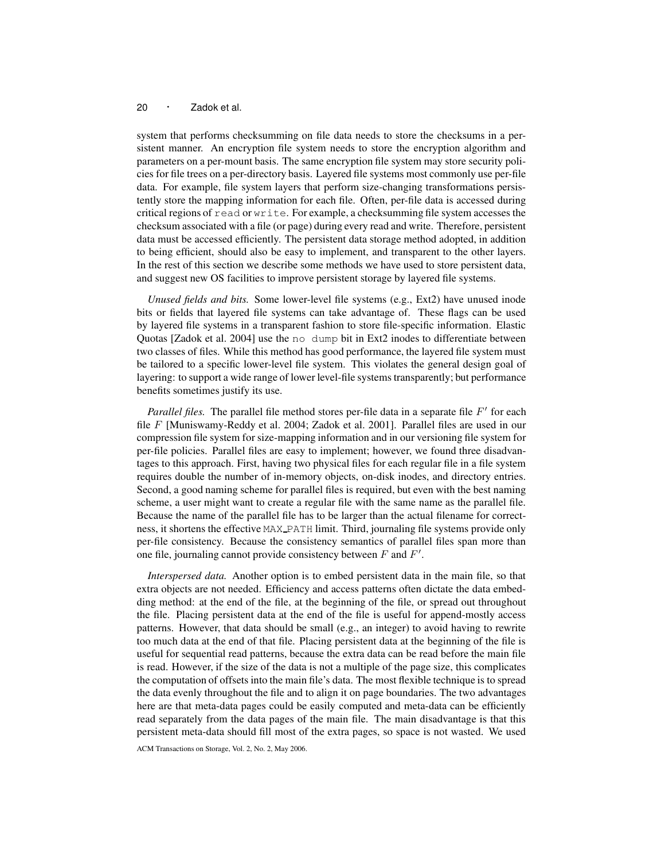system that performs checksumming on file data needs to store the checksums in a persistent manner. An encryption file system needs to store the encryption algorithm and parameters on a per-mount basis. The same encryption file system may store security policies for file trees on a per-directory basis. Layered file systems most commonly use per-file data. For example, file system layers that perform size-changing transformations persistently store the mapping information for each file. Often, per-file data is accessed during critical regions of read or write. For example, a checksumming file system accesses the checksum associated with a file (or page) during every read and write. Therefore, persistent data must be accessed efficiently. The persistent data storage method adopted, in addition to being efficient, should also be easy to implement, and transparent to the other layers. In the rest of this section we describe some methods we have used to store persistent data, and suggest new OS facilities to improve persistent storage by layered file systems.

*Unused fields and bits.* Some lower-level file systems (e.g., Ext2) have unused inode bits or fields that layered file systems can take advantage of. These flags can be used by layered file systems in a transparent fashion to store file-specific information. Elastic Quotas [Zadok et al. 2004] use the no dump bit in Ext2 inodes to differentiate between two classes of files. While this method has good performance, the layered file system must be tailored to a specific lower-level file system. This violates the general design goal of layering: to support a wide range of lower level-file systems transparently; but performance benefits sometimes justify its use.

*Parallel files.* The parallel file method stores per-file data in a separate file  $F'$  for each file F [Muniswamy-Reddy et al. 2004; Zadok et al. 2001]. Parallel files are used in our compression file system for size-mapping information and in our versioning file system for per-file policies. Parallel files are easy to implement; however, we found three disadvantages to this approach. First, having two physical files for each regular file in a file system requires double the number of in-memory objects, on-disk inodes, and directory entries. Second, a good naming scheme for parallel files is required, but even with the best naming scheme, a user might want to create a regular file with the same name as the parallel file. Because the name of the parallel file has to be larger than the actual filename for correctness, it shortens the effective MAX PATH limit. Third, journaling file systems provide only per-file consistency. Because the consistency semantics of parallel files span more than one file, journaling cannot provide consistency between  $F$  and  $F'$ .

*Interspersed data.* Another option is to embed persistent data in the main file, so that extra objects are not needed. Efficiency and access patterns often dictate the data embedding method: at the end of the file, at the beginning of the file, or spread out throughout the file. Placing persistent data at the end of the file is useful for append-mostly access patterns. However, that data should be small (e.g., an integer) to avoid having to rewrite too much data at the end of that file. Placing persistent data at the beginning of the file is useful for sequential read patterns, because the extra data can be read before the main file is read. However, if the size of the data is not a multiple of the page size, this complicates the computation of offsets into the main file's data. The most flexible technique is to spread the data evenly throughout the file and to align it on page boundaries. The two advantages here are that meta-data pages could be easily computed and meta-data can be efficiently read separately from the data pages of the main file. The main disadvantage is that this persistent meta-data should fill most of the extra pages, so space is not wasted. We used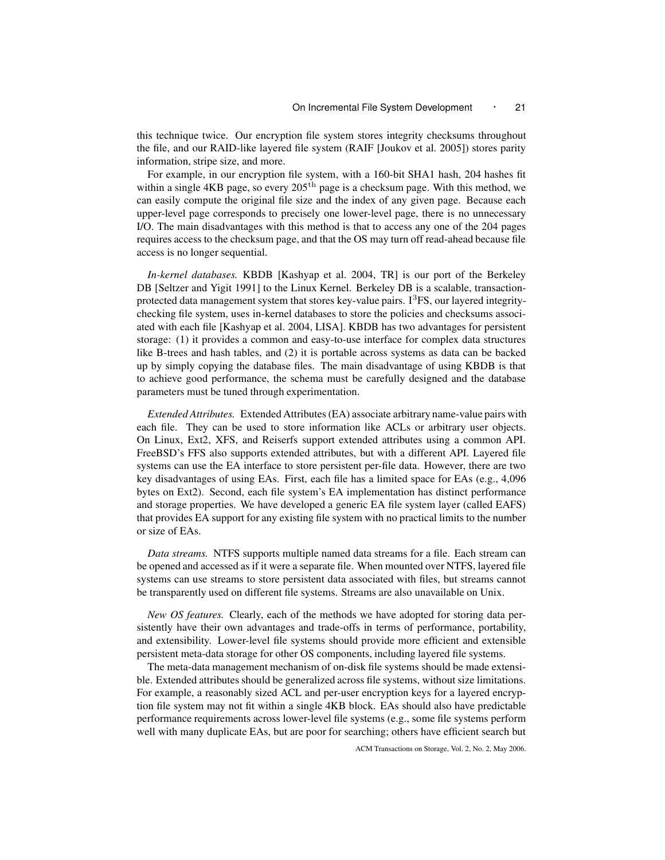this technique twice. Our encryption file system stores integrity checksums throughout the file, and our RAID-like layered file system (RAIF [Joukov et al. 2005]) stores parity information, stripe size, and more.

For example, in our encryption file system, with a 160-bit SHA1 hash, 204 hashes fit within a single 4KB page, so every  $205<sup>th</sup>$  page is a checksum page. With this method, we can easily compute the original file size and the index of any given page. Because each upper-level page corresponds to precisely one lower-level page, there is no unnecessary I/O. The main disadvantages with this method is that to access any one of the 204 pages requires access to the checksum page, and that the OS may turn off read-ahead because file access is no longer sequential.

*In-kernel databases.* KBDB [Kashyap et al. 2004, TR] is our port of the Berkeley DB [Seltzer and Yigit 1991] to the Linux Kernel. Berkeley DB is a scalable, transactionprotected data management system that stores key-value pairs. I <sup>3</sup>FS, our layered integritychecking file system, uses in-kernel databases to store the policies and checksums associated with each file [Kashyap et al. 2004, LISA]. KBDB has two advantages for persistent storage: (1) it provides a common and easy-to-use interface for complex data structures like B-trees and hash tables, and (2) it is portable across systems as data can be backed up by simply copying the database files. The main disadvantage of using KBDB is that to achieve good performance, the schema must be carefully designed and the database parameters must be tuned through experimentation.

*Extended Attributes.* Extended Attributes(EA) associate arbitrary name-value pairs with each file. They can be used to store information like ACLs or arbitrary user objects. On Linux, Ext2, XFS, and Reiserfs support extended attributes using a common API. FreeBSD's FFS also supports extended attributes, but with a different API. Layered file systems can use the EA interface to store persistent per-file data. However, there are two key disadvantages of using EAs. First, each file has a limited space for EAs (e.g., 4,096 bytes on Ext2). Second, each file system's EA implementation has distinct performance and storage properties. We have developed a generic EA file system layer (called EAFS) that provides EA support for any existing file system with no practical limits to the number or size of EAs.

*Data streams.* NTFS supports multiple named data streams for a file. Each stream can be opened and accessed as if it were a separate file. When mounted over NTFS, layered file systems can use streams to store persistent data associated with files, but streams cannot be transparently used on different file systems. Streams are also unavailable on Unix.

*New OS features.* Clearly, each of the methods we have adopted for storing data persistently have their own advantages and trade-offs in terms of performance, portability, and extensibility. Lower-level file systems should provide more efficient and extensible persistent meta-data storage for other OS components, including layered file systems.

The meta-data management mechanism of on-disk file systems should be made extensible. Extended attributes should be generalized across file systems, without size limitations. For example, a reasonably sized ACL and per-user encryption keys for a layered encryption file system may not fit within a single 4KB block. EAs should also have predictable performance requirements across lower-level file systems (e.g., some file systems perform well with many duplicate EAs, but are poor for searching; others have efficient search but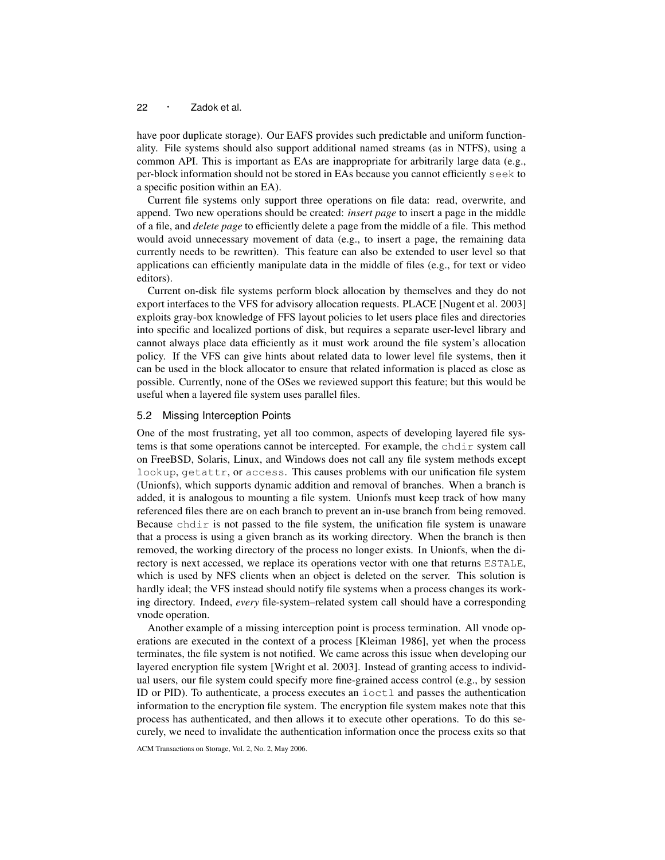have poor duplicate storage). Our EAFS provides such predictable and uniform functionality. File systems should also support additional named streams (as in NTFS), using a common API. This is important as EAs are inappropriate for arbitrarily large data (e.g., per-block information should not be stored in EAs because you cannot efficiently seek to a specific position within an EA).

Current file systems only support three operations on file data: read, overwrite, and append. Two new operations should be created: *insert page* to insert a page in the middle of a file, and *delete page* to efficiently delete a page from the middle of a file. This method would avoid unnecessary movement of data (e.g., to insert a page, the remaining data currently needs to be rewritten). This feature can also be extended to user level so that applications can efficiently manipulate data in the middle of files (e.g., for text or video editors).

Current on-disk file systems perform block allocation by themselves and they do not export interfaces to the VFS for advisory allocation requests. PLACE [Nugent et al. 2003] exploits gray-box knowledge of FFS layout policies to let users place files and directories into specific and localized portions of disk, but requires a separate user-level library and cannot always place data efficiently as it must work around the file system's allocation policy. If the VFS can give hints about related data to lower level file systems, then it can be used in the block allocator to ensure that related information is placed as close as possible. Currently, none of the OSes we reviewed support this feature; but this would be useful when a layered file system uses parallel files.

#### 5.2 Missing Interception Points

One of the most frustrating, yet all too common, aspects of developing layered file systems is that some operations cannot be intercepted. For example, the chdir system call on FreeBSD, Solaris, Linux, and Windows does not call any file system methods except lookup, getattr, or access. This causes problems with our unification file system (Unionfs), which supports dynamic addition and removal of branches. When a branch is added, it is analogous to mounting a file system. Unionfs must keep track of how many referenced files there are on each branch to prevent an in-use branch from being removed. Because chdir is not passed to the file system, the unification file system is unaware that a process is using a given branch as its working directory. When the branch is then removed, the working directory of the process no longer exists. In Unionfs, when the directory is next accessed, we replace its operations vector with one that returns ESTALE, which is used by NFS clients when an object is deleted on the server. This solution is hardly ideal; the VFS instead should notify file systems when a process changes its working directory. Indeed, *every* file-system–related system call should have a corresponding vnode operation.

Another example of a missing interception point is process termination. All vnode operations are executed in the context of a process [Kleiman 1986], yet when the process terminates, the file system is not notified. We came across this issue when developing our layered encryption file system [Wright et al. 2003]. Instead of granting access to individual users, our file system could specify more fine-grained access control (e.g., by session ID or PID). To authenticate, a process executes an  $i$  oct  $1$  and passes the authentication information to the encryption file system. The encryption file system makes note that this process has authenticated, and then allows it to execute other operations. To do this securely, we need to invalidate the authentication information once the process exits so that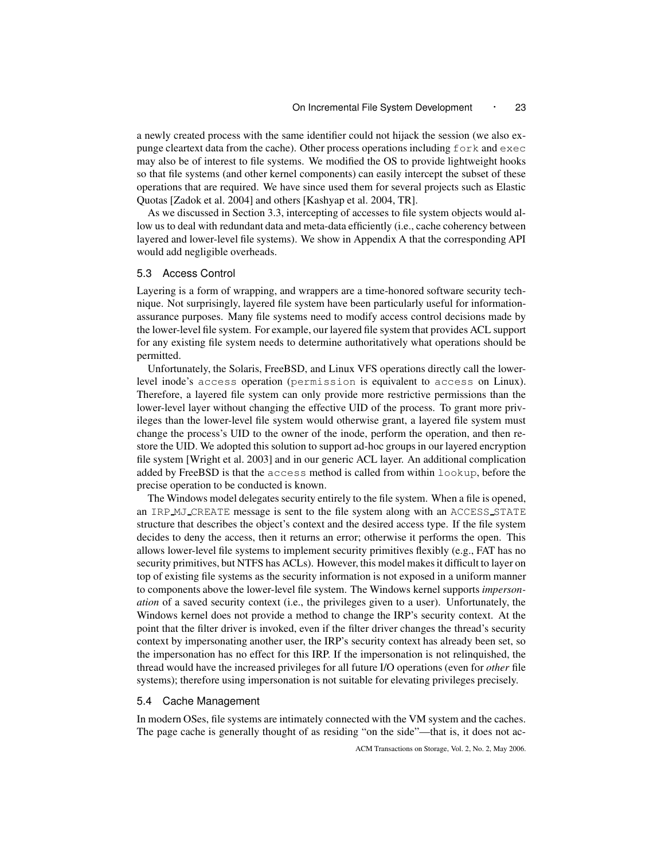a newly created process with the same identifier could not hijack the session (we also expunge cleartext data from the cache). Other process operations including fork and exec may also be of interest to file systems. We modified the OS to provide lightweight hooks so that file systems (and other kernel components) can easily intercept the subset of these operations that are required. We have since used them for several projects such as Elastic Quotas [Zadok et al. 2004] and others [Kashyap et al. 2004, TR].

As we discussed in Section 3.3, intercepting of accesses to file system objects would allow us to deal with redundant data and meta-data efficiently (i.e., cache coherency between layered and lower-level file systems). We show in Appendix A that the corresponding API would add negligible overheads.

#### 5.3 Access Control

Layering is a form of wrapping, and wrappers are a time-honored software security technique. Not surprisingly, layered file system have been particularly useful for informationassurance purposes. Many file systems need to modify access control decisions made by the lower-level file system. For example, our layered file system that provides ACL support for any existing file system needs to determine authoritatively what operations should be permitted.

Unfortunately, the Solaris, FreeBSD, and Linux VFS operations directly call the lowerlevel inode's access operation (permission is equivalent to access on Linux). Therefore, a layered file system can only provide more restrictive permissions than the lower-level layer without changing the effective UID of the process. To grant more privileges than the lower-level file system would otherwise grant, a layered file system must change the process's UID to the owner of the inode, perform the operation, and then restore the UID. We adopted this solution to support ad-hoc groups in our layered encryption file system [Wright et al. 2003] and in our generic ACL layer. An additional complication added by FreeBSD is that the access method is called from within lookup, before the precise operation to be conducted is known.

The Windows model delegates security entirely to the file system. When a file is opened, an IRP MJ CREATE message is sent to the file system along with an ACCESS STATE structure that describes the object's context and the desired access type. If the file system decides to deny the access, then it returns an error; otherwise it performs the open. This allows lower-level file systems to implement security primitives flexibly (e.g., FAT has no security primitives, but NTFS has ACLs). However, this model makesit difficult to layer on top of existing file systems as the security information is not exposed in a uniform manner to components above the lower-level file system. The Windows kernel supports *impersonation* of a saved security context (i.e., the privileges given to a user). Unfortunately, the Windows kernel does not provide a method to change the IRP's security context. At the point that the filter driver is invoked, even if the filter driver changes the thread's security context by impersonating another user, the IRP's security context has already been set, so the impersonation has no effect for this IRP. If the impersonation is not relinquished, the thread would have the increased privileges for all future I/O operations (even for *other* file systems); therefore using impersonation is not suitable for elevating privileges precisely.

#### 5.4 Cache Management

In modern OSes, file systems are intimately connected with the VM system and the caches. The page cache is generally thought of as residing "on the side"—that is, it does not ac-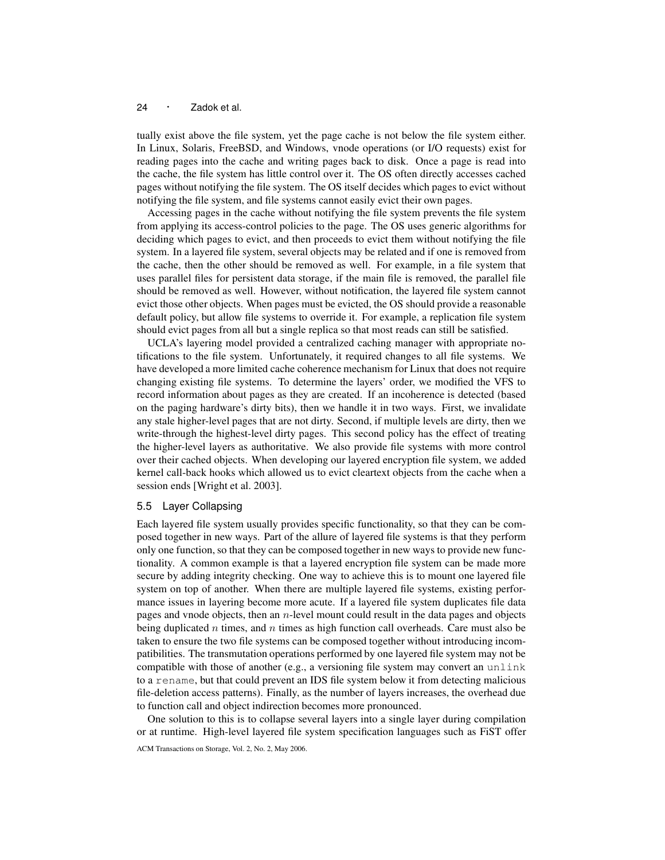tually exist above the file system, yet the page cache is not below the file system either. In Linux, Solaris, FreeBSD, and Windows, vnode operations (or I/O requests) exist for reading pages into the cache and writing pages back to disk. Once a page is read into the cache, the file system has little control over it. The OS often directly accesses cached pages without notifying the file system. The OS itself decides which pages to evict without notifying the file system, and file systems cannot easily evict their own pages.

Accessing pages in the cache without notifying the file system prevents the file system from applying its access-control policies to the page. The OS uses generic algorithms for deciding which pages to evict, and then proceeds to evict them without notifying the file system. In a layered file system, several objects may be related and if one is removed from the cache, then the other should be removed as well. For example, in a file system that uses parallel files for persistent data storage, if the main file is removed, the parallel file should be removed as well. However, without notification, the layered file system cannot evict those other objects. When pages must be evicted, the OS should provide a reasonable default policy, but allow file systems to override it. For example, a replication file system should evict pages from all but a single replica so that most reads can still be satisfied.

UCLA's layering model provided a centralized caching manager with appropriate notifications to the file system. Unfortunately, it required changes to all file systems. We have developed a more limited cache coherence mechanism for Linux that does not require changing existing file systems. To determine the layers' order, we modified the VFS to record information about pages as they are created. If an incoherence is detected (based on the paging hardware's dirty bits), then we handle it in two ways. First, we invalidate any stale higher-level pages that are not dirty. Second, if multiple levels are dirty, then we write-through the highest-level dirty pages. This second policy has the effect of treating the higher-level layers as authoritative. We also provide file systems with more control over their cached objects. When developing our layered encryption file system, we added kernel call-back hooks which allowed us to evict cleartext objects from the cache when a session ends [Wright et al. 2003].

#### 5.5 Layer Collapsing

Each layered file system usually provides specific functionality, so that they can be composed together in new ways. Part of the allure of layered file systems is that they perform only one function, so that they can be composed together in new ways to provide new functionality. A common example is that a layered encryption file system can be made more secure by adding integrity checking. One way to achieve this is to mount one layered file system on top of another. When there are multiple layered file systems, existing performance issues in layering become more acute. If a layered file system duplicates file data pages and vnode objects, then an  $n$ -level mount could result in the data pages and objects being duplicated  $n$  times, and  $n$  times as high function call overheads. Care must also be taken to ensure the two file systems can be composed together without introducing incompatibilities. The transmutation operations performed by one layered file system may not be compatible with those of another (e.g., a versioning file system may convert an unlink to a rename, but that could prevent an IDS file system below it from detecting malicious file-deletion access patterns). Finally, as the number of layers increases, the overhead due to function call and object indirection becomes more pronounced.

One solution to this is to collapse several layers into a single layer during compilation or at runtime. High-level layered file system specification languages such as FiST offer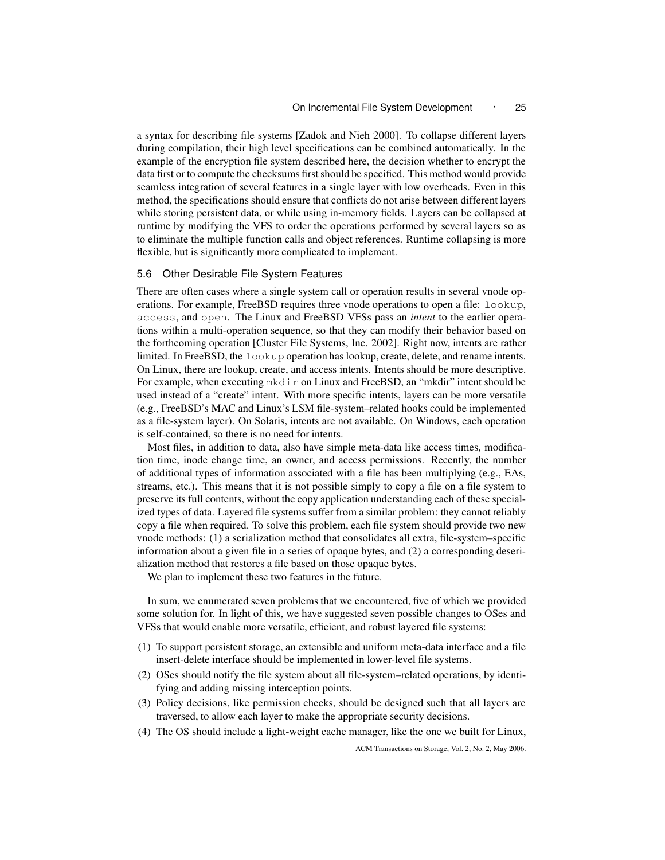a syntax for describing file systems [Zadok and Nieh 2000]. To collapse different layers during compilation, their high level specifications can be combined automatically. In the example of the encryption file system described here, the decision whether to encrypt the data first or to compute the checksums first should be specified. This method would provide seamless integration of several features in a single layer with low overheads. Even in this method, the specifications should ensure that conflicts do not arise between different layers while storing persistent data, or while using in-memory fields. Layers can be collapsed at runtime by modifying the VFS to order the operations performed by several layers so as to eliminate the multiple function calls and object references. Runtime collapsing is more flexible, but is significantly more complicated to implement.

#### 5.6 Other Desirable File System Features

There are often cases where a single system call or operation results in several vnode operations. For example, FreeBSD requires three vnode operations to open a file: lookup, access, and open. The Linux and FreeBSD VFSs pass an *intent* to the earlier operations within a multi-operation sequence, so that they can modify their behavior based on the forthcoming operation [Cluster File Systems, Inc. 2002]. Right now, intents are rather limited. In FreeBSD, the lookup operation has lookup, create, delete, and rename intents. On Linux, there are lookup, create, and access intents. Intents should be more descriptive. For example, when executing mkdir on Linux and FreeBSD, an "mkdir" intent should be used instead of a "create" intent. With more specific intents, layers can be more versatile (e.g., FreeBSD's MAC and Linux's LSM file-system–related hooks could be implemented as a file-system layer). On Solaris, intents are not available. On Windows, each operation is self-contained, so there is no need for intents.

Most files, in addition to data, also have simple meta-data like access times, modification time, inode change time, an owner, and access permissions. Recently, the number of additional types of information associated with a file has been multiplying (e.g., EAs, streams, etc.). This means that it is not possible simply to copy a file on a file system to preserve its full contents, without the copy application understanding each of these specialized types of data. Layered file systems suffer from a similar problem: they cannot reliably copy a file when required. To solve this problem, each file system should provide two new vnode methods: (1) a serialization method that consolidates all extra, file-system–specific information about a given file in a series of opaque bytes, and (2) a corresponding deserialization method that restores a file based on those opaque bytes.

We plan to implement these two features in the future.

In sum, we enumerated seven problems that we encountered, five of which we provided some solution for. In light of this, we have suggested seven possible changes to OSes and VFSs that would enable more versatile, efficient, and robust layered file systems:

- (1) To support persistent storage, an extensible and uniform meta-data interface and a file insert-delete interface should be implemented in lower-level file systems.
- (2) OSes should notify the file system about all file-system–related operations, by identifying and adding missing interception points.
- (3) Policy decisions, like permission checks, should be designed such that all layers are traversed, to allow each layer to make the appropriate security decisions.
- (4) The OS should include a light-weight cache manager, like the one we built for Linux,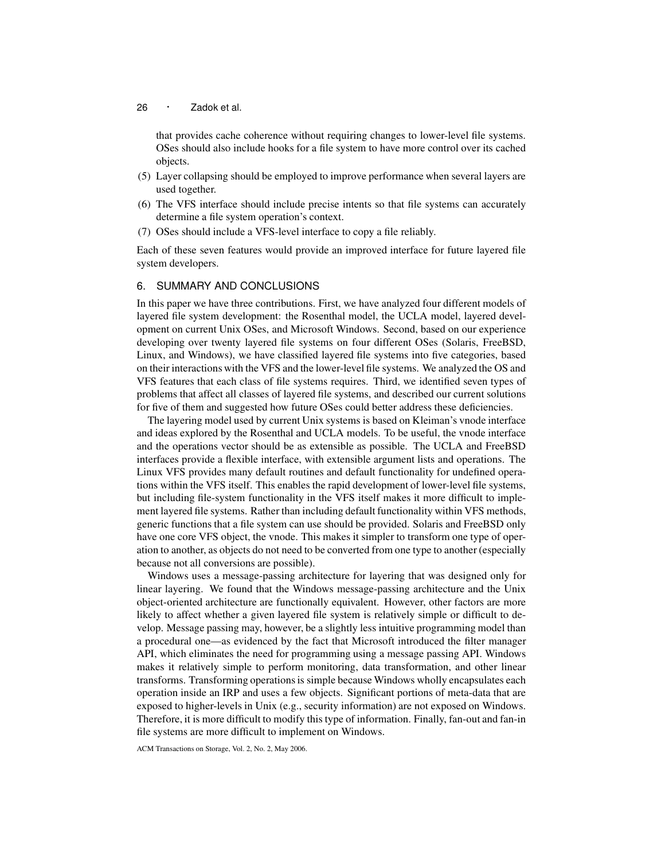that provides cache coherence without requiring changes to lower-level file systems. OSes should also include hooks for a file system to have more control over its cached objects.

- (5) Layer collapsing should be employed to improve performance when several layers are used together.
- (6) The VFS interface should include precise intents so that file systems can accurately determine a file system operation's context.
- (7) OSes should include a VFS-level interface to copy a file reliably.

Each of these seven features would provide an improved interface for future layered file system developers.

#### 6. SUMMARY AND CONCLUSIONS

In this paper we have three contributions. First, we have analyzed four different models of layered file system development: the Rosenthal model, the UCLA model, layered development on current Unix OSes, and Microsoft Windows. Second, based on our experience developing over twenty layered file systems on four different OSes (Solaris, FreeBSD, Linux, and Windows), we have classified layered file systems into five categories, based on their interactions with the VFS and the lower-level file systems. We analyzed the OS and VFS features that each class of file systems requires. Third, we identified seven types of problems that affect all classes of layered file systems, and described our current solutions for five of them and suggested how future OSes could better address these deficiencies.

The layering model used by current Unix systems is based on Kleiman's vnode interface and ideas explored by the Rosenthal and UCLA models. To be useful, the vnode interface and the operations vector should be as extensible as possible. The UCLA and FreeBSD interfaces provide a flexible interface, with extensible argument lists and operations. The Linux VFS provides many default routines and default functionality for undefined operations within the VFS itself. This enables the rapid development of lower-level file systems, but including file-system functionality in the VFS itself makes it more difficult to implement layered file systems. Rather than including default functionality within VFS methods, generic functions that a file system can use should be provided. Solaris and FreeBSD only have one core VFS object, the vnode. This makes it simpler to transform one type of operation to another, as objects do not need to be converted from one type to another (especially because not all conversions are possible).

Windows uses a message-passing architecture for layering that was designed only for linear layering. We found that the Windows message-passing architecture and the Unix object-oriented architecture are functionally equivalent. However, other factors are more likely to affect whether a given layered file system is relatively simple or difficult to develop. Message passing may, however, be a slightly less intuitive programming model than a procedural one—as evidenced by the fact that Microsoft introduced the filter manager API, which eliminates the need for programming using a message passing API. Windows makes it relatively simple to perform monitoring, data transformation, and other linear transforms. Transforming operationsis simple because Windows wholly encapsulates each operation inside an IRP and uses a few objects. Significant portions of meta-data that are exposed to higher-levels in Unix (e.g., security information) are not exposed on Windows. Therefore, it is more difficult to modify this type of information. Finally, fan-out and fan-in file systems are more difficult to implement on Windows.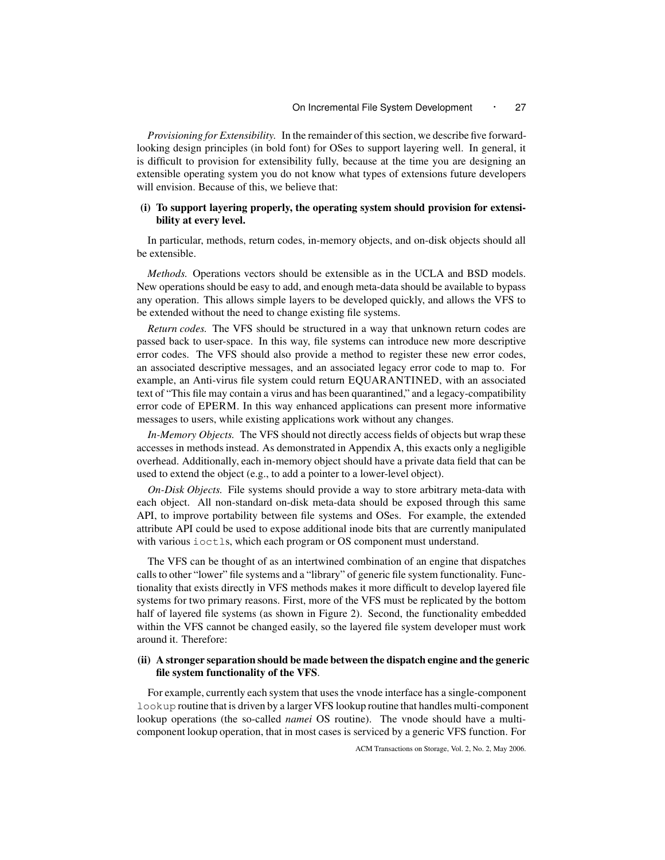*Provisioning for Extensibility.* In the remainder of this section, we describe five forwardlooking design principles (in bold font) for OSes to support layering well. In general, it is difficult to provision for extensibility fully, because at the time you are designing an extensible operating system you do not know what types of extensions future developers will envision. Because of this, we believe that:

## **(i) To support layering properly, the operating system should provision for extensibility at every level.**

In particular, methods, return codes, in-memory objects, and on-disk objects should all be extensible.

*Methods.* Operations vectors should be extensible as in the UCLA and BSD models. New operations should be easy to add, and enough meta-data should be available to bypass any operation. This allows simple layers to be developed quickly, and allows the VFS to be extended without the need to change existing file systems.

*Return codes.* The VFS should be structured in a way that unknown return codes are passed back to user-space. In this way, file systems can introduce new more descriptive error codes. The VFS should also provide a method to register these new error codes, an associated descriptive messages, and an associated legacy error code to map to. For example, an Anti-virus file system could return EQUARANTINED, with an associated text of "This file may contain a virus and has been quarantined," and a legacy-compatibility error code of EPERM. In this way enhanced applications can present more informative messages to users, while existing applications work without any changes.

*In-Memory Objects.* The VFS should not directly access fields of objects but wrap these accesses in methods instead. As demonstrated in Appendix A, this exacts only a negligible overhead. Additionally, each in-memory object should have a private data field that can be used to extend the object (e.g., to add a pointer to a lower-level object).

*On-Disk Objects.* File systems should provide a way to store arbitrary meta-data with each object. All non-standard on-disk meta-data should be exposed through this same API, to improve portability between file systems and OSes. For example, the extended attribute API could be used to expose additional inode bits that are currently manipulated with various  $i$  octls, which each program or OS component must understand.

The VFS can be thought of as an intertwined combination of an engine that dispatches calls to other "lower" file systems and a "library" of generic file system functionality. Functionality that exists directly in VFS methods makes it more difficult to develop layered file systems for two primary reasons. First, more of the VFS must be replicated by the bottom half of layered file systems (as shown in Figure 2). Second, the functionality embedded within the VFS cannot be changed easily, so the layered file system developer must work around it. Therefore:

## **(ii) A stronger separation should be made between the dispatch engine and the generic file system functionality of the VFS**.

For example, currently each system that uses the vnode interface has a single-component lookup routine that is driven by a larger VFS lookup routine that handles multi-component lookup operations (the so-called *namei* OS routine). The vnode should have a multicomponent lookup operation, that in most cases is serviced by a generic VFS function. For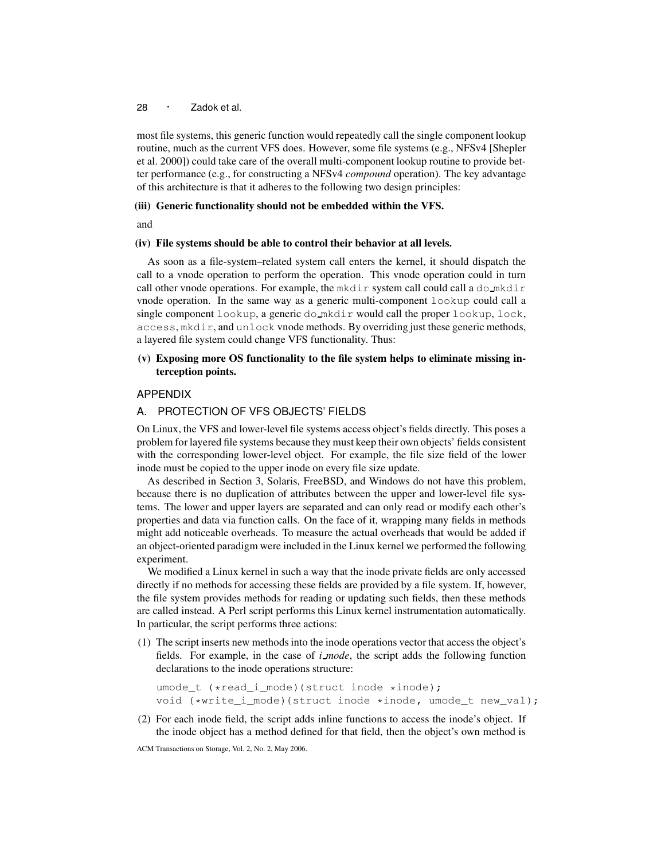most file systems, this generic function would repeatedly call the single component lookup routine, much as the current VFS does. However, some file systems (e.g., NFSv4 [Shepler et al. 2000]) could take care of the overall multi-component lookup routine to provide better performance (e.g., for constructing a NFSv4 *compound* operation). The key advantage of this architecture is that it adheres to the following two design principles:

#### **(iii) Generic functionality should not be embedded within the VFS.**

and

#### **(iv) File systems should be able to control their behavior at all levels.**

As soon as a file-system–related system call enters the kernel, it should dispatch the call to a vnode operation to perform the operation. This vnode operation could in turn call other vnode operations. For example, the mkdir system call could call a  $d$ o\_mkdir vnode operation. In the same way as a generic multi-component lookup could call a single component lookup, a generic do mkdir would call the proper lookup, lock, access, mkdir, and unlock vnode methods. By overriding just these generic methods, a layered file system could change VFS functionality. Thus:

## **(v) Exposing more OS functionality to the file system helps to eliminate missing interception points.**

## APPENDIX

## A. PROTECTION OF VFS OBJECTS' FIELDS

On Linux, the VFS and lower-level file systems access object's fields directly. This poses a problem for layered file systems because they must keep their own objects' fields consistent with the corresponding lower-level object. For example, the file size field of the lower inode must be copied to the upper inode on every file size update.

As described in Section 3, Solaris, FreeBSD, and Windows do not have this problem, because there is no duplication of attributes between the upper and lower-level file systems. The lower and upper layers are separated and can only read or modify each other's properties and data via function calls. On the face of it, wrapping many fields in methods might add noticeable overheads. To measure the actual overheads that would be added if an object-oriented paradigm were included in the Linux kernel we performed the following experiment.

We modified a Linux kernel in such a way that the inode private fields are only accessed directly if no methods for accessing these fields are provided by a file system. If, however, the file system provides methods for reading or updating such fields, then these methods are called instead. A Perl script performs this Linux kernel instrumentation automatically. In particular, the script performs three actions:

(1) The script inserts new methods into the inode operations vector that access the object's fields. For example, in the case of *i mode*, the script adds the following function declarations to the inode operations structure:

```
umode_t (*read_i_mode)(struct inode *inode);
void (*write i mode)(struct inode *inode, umode t new val);
```
(2) For each inode field, the script adds inline functions to access the inode's object. If the inode object has a method defined for that field, then the object's own method is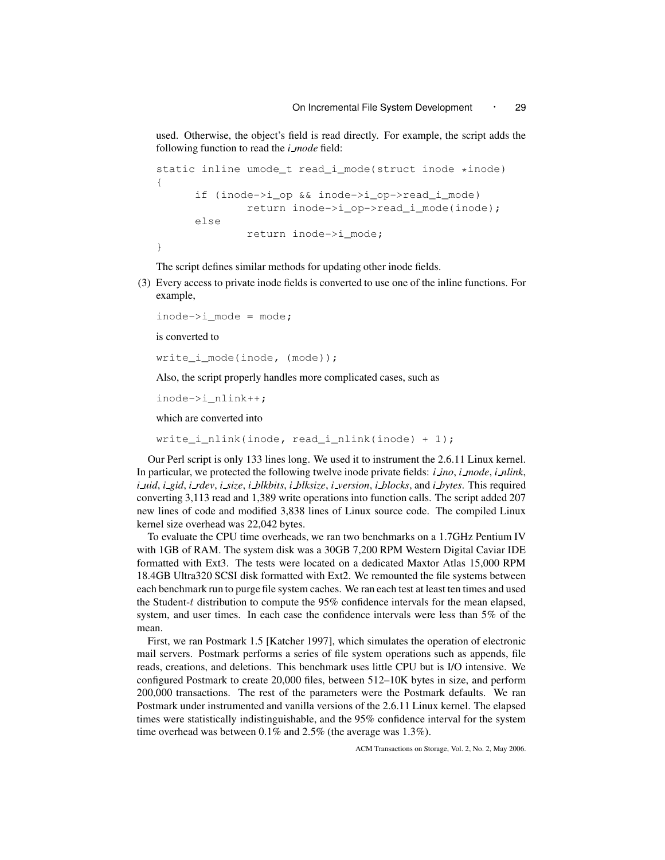used. Otherwise, the object's field is read directly. For example, the script adds the following function to read the *i mode* field:

```
static inline umode_t read_i_mode(struct inode *inode)
{
      if (inode->i_op && inode->i_op->read_i_mode)
              return inode->i_op->read_i_mode(inode);
      else
              return inode->i_mode;
}
```
The script defines similar methods for updating other inode fields.

(3) Every access to private inode fields is converted to use one of the inline functions. For example,

inode->i\_mode = mode;

is converted to

write\_i\_mode(inode, (mode));

Also, the script properly handles more complicated cases, such as

inode->i\_nlink++;

which are converted into

write\_i\_nlink(inode, read\_i\_nlink(inode) + 1);

Our Perl script is only 133 lines long. We used it to instrument the 2.6.11 Linux kernel. In particular, we protected the following twelve inode private fields: *i ino*, *i mode*, *i nlink*, *i\_uid, i\_gid, i\_rdev, i\_size, i\_blkbits, i\_blksize, i\_version, i\_blocks, and i\_bytes. This required* converting 3,113 read and 1,389 write operations into function calls. The script added 207 new lines of code and modified 3,838 lines of Linux source code. The compiled Linux kernel size overhead was 22,042 bytes.

To evaluate the CPU time overheads, we ran two benchmarks on a 1.7GHz Pentium IV with 1GB of RAM. The system disk was a 30GB 7,200 RPM Western Digital Caviar IDE formatted with Ext3. The tests were located on a dedicated Maxtor Atlas 15,000 RPM 18.4GB Ultra320 SCSI disk formatted with Ext2. We remounted the file systems between each benchmark run to purge file system caches. We ran each test at least ten times and used the Student-t distribution to compute the 95% confidence intervals for the mean elapsed, system, and user times. In each case the confidence intervals were less than 5% of the mean.

First, we ran Postmark 1.5 [Katcher 1997], which simulates the operation of electronic mail servers. Postmark performs a series of file system operations such as appends, file reads, creations, and deletions. This benchmark uses little CPU but is I/O intensive. We configured Postmark to create 20,000 files, between 512–10K bytes in size, and perform 200,000 transactions. The rest of the parameters were the Postmark defaults. We ran Postmark under instrumented and vanilla versions of the 2.6.11 Linux kernel. The elapsed times were statistically indistinguishable, and the 95% confidence interval for the system time overhead was between 0.1% and 2.5% (the average was 1.3%).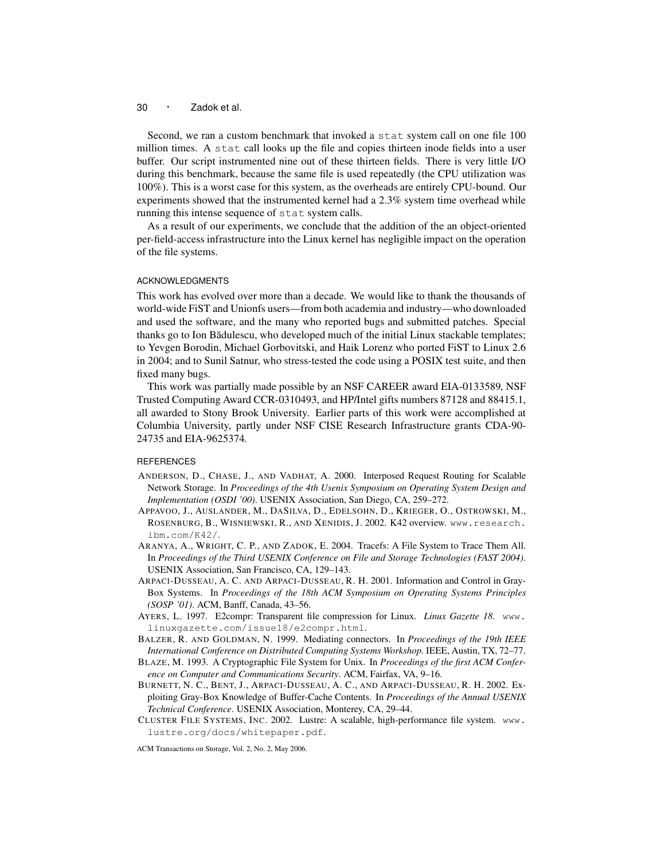Second, we ran a custom benchmark that invoked a stat system call on one file 100 million times. A stat call looks up the file and copies thirteen inode fields into a user buffer. Our script instrumented nine out of these thirteen fields. There is very little I/O during this benchmark, because the same file is used repeatedly (the CPU utilization was 100%). This is a worst case for this system, as the overheads are entirely CPU-bound. Our experiments showed that the instrumented kernel had a 2.3% system time overhead while running this intense sequence of stat system calls.

As a result of our experiments, we conclude that the addition of the an object-oriented per-field-access infrastructure into the Linux kernel has negligible impact on the operation of the file systems.

#### ACKNOWLEDGMENTS

This work has evolved over more than a decade. We would like to thank the thousands of world-wide FiST and Unionfs users—from both academia and industry—who downloaded and used the software, and the many who reported bugs and submitted patches. Special thanks go to Ion Bădulescu, who developed much of the initial Linux stackable templates; to Yevgen Borodin, Michael Gorbovitski, and Haik Lorenz who ported FiST to Linux 2.6 in 2004; and to Sunil Satnur, who stress-tested the code using a POSIX test suite, and then fixed many bugs.

This work was partially made possible by an NSF CAREER award EIA-0133589, NSF Trusted Computing Award CCR-0310493, and HP/Intel gifts numbers 87128 and 88415.1, all awarded to Stony Brook University. Earlier parts of this work were accomplished at Columbia University, partly under NSF CISE Research Infrastructure grants CDA-90- 24735 and EIA-9625374.

#### REFERENCES

- ANDERSON, D., CHASE, J., AND VADHAT, A. 2000. Interposed Request Routing for Scalable Network Storage. In *Proceedings of the 4th Usenix Symposium on Operating System Design and Implementation (OSDI '00)*. USENIX Association, San Diego, CA, 259–272.
- APPAVOO, J., AUSLANDER, M., DASILVA, D., EDELSOHN, D., KRIEGER, O., OSTROWSKI, M., ROSENBURG, B., WISNIEWSKI, R., AND XENIDIS, J. 2002. K42 overview. www.research. ibm.com/K42/.
- ARANYA, A., WRIGHT, C. P., AND ZADOK, E. 2004. Tracefs: A File System to Trace Them All. In *Proceedings of the Third USENIX Conference on File and Storage Technologies (FAST 2004)*. USENIX Association, San Francisco, CA, 129–143.
- ARPACI-DUSSEAU, A. C. AND ARPACI-DUSSEAU, R. H. 2001. Information and Control in Gray-Box Systems. In *Proceedings of the 18th ACM Symposium on Operating Systems Principles (SOSP '01)*. ACM, Banff, Canada, 43–56.
- AYERS, L. 1997. E2compr: Transparent file compression for Linux. *Linux Gazette 18*. www. linuxgazette.com/issue18/e2compr.html.
- BALZER, R. AND GOLDMAN, N. 1999. Mediating connectors. In *Proceedings of the 19th IEEE International Conference on Distributed Computing Systems Workshop*. IEEE, Austin, TX, 72–77.
- BLAZE, M. 1993. A Cryptographic File System for Unix. In *Proceedings of the first ACM Conference on Computer and Communications Security*. ACM, Fairfax, VA, 9–16.
- BURNETT, N. C., BENT, J., ARPACI-DUSSEAU, A. C., AND ARPACI-DUSSEAU, R. H. 2002. Exploiting Gray-Box Knowledge of Buffer-Cache Contents. In *Proceedings of the Annual USENIX Technical Conference*. USENIX Association, Monterey, CA, 29–44.
- CLUSTER FILE SYSTEMS, INC. 2002. Lustre: A scalable, high-performance file system. www. lustre.org/docs/whitepaper.pdf.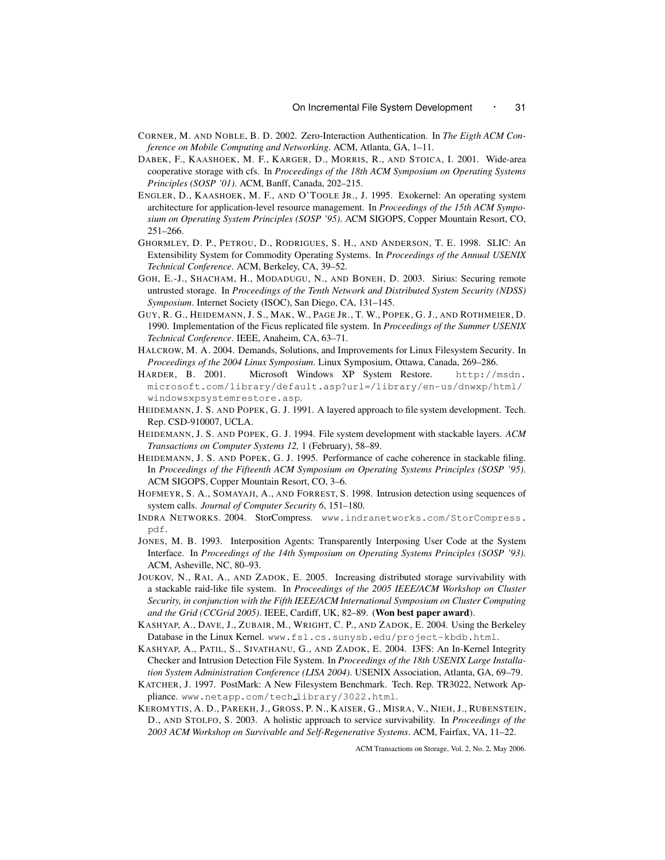- CORNER, M. AND NOBLE, B. D. 2002. Zero-Interaction Authentication. In *The Eigth ACM Conference on Mobile Computing and Networking*. ACM, Atlanta, GA, 1–11.
- DABEK, F., KAASHOEK, M. F., KARGER, D., MORRIS, R., AND STOICA, I. 2001. Wide-area cooperative storage with cfs. In *Proceedings of the 18th ACM Symposium on Operating Systems Principles (SOSP '01)*. ACM, Banff, Canada, 202–215.
- ENGLER, D., KAASHOEK, M. F., AND O'TOOLE JR., J. 1995. Exokernel: An operating system architecture for application-level resource management. In *Proceedings of the 15th ACM Symposium on Operating System Principles (SOSP '95)*. ACM SIGOPS, Copper Mountain Resort, CO, 251–266.
- GHORMLEY, D. P., PETROU, D., RODRIGUES, S. H., AND ANDERSON, T. E. 1998. SLIC: An Extensibility System for Commodity Operating Systems. In *Proceedings of the Annual USENIX Technical Conference*. ACM, Berkeley, CA, 39–52.
- GOH, E.-J., SHACHAM, H., MODADUGU, N., AND BONEH, D. 2003. Sirius: Securing remote untrusted storage. In *Proceedings of the Tenth Network and Distributed System Security (NDSS) Symposium*. Internet Society (ISOC), San Diego, CA, 131–145.
- GUY, R. G., HEIDEMANN, J. S., MAK, W., PAGE JR., T. W., POPEK, G. J., AND ROTHMEIER, D. 1990. Implementation of the Ficus replicated file system. In *Proceedings of the Summer USENIX Technical Conference*. IEEE, Anaheim, CA, 63–71.
- HALCROW, M. A. 2004. Demands, Solutions, and Improvements for Linux Filesystem Security. In *Proceedings of the 2004 Linux Symposium*. Linux Symposium, Ottawa, Canada, 269–286.
- HARDER, B. 2001. Microsoft Windows XP System Restore. http://msdn. microsoft.com/library/default.asp?url=/library/en-us/dnwxp/html/ windowsxpsystemrestore.asp.
- HEIDEMANN, J. S. AND POPEK, G. J. 1991. A layered approach to file system development. Tech. Rep. CSD-910007, UCLA.
- HEIDEMANN, J. S. AND POPEK, G. J. 1994. File system development with stackable layers. *ACM Transactions on Computer Systems 12,* 1 (February), 58–89.
- HEIDEMANN, J. S. AND POPEK, G. J. 1995. Performance of cache coherence in stackable filing. In *Proceedings of the Fifteenth ACM Symposium on Operating Systems Principles (SOSP '95)*. ACM SIGOPS, Copper Mountain Resort, CO, 3–6.
- HOFMEYR, S. A., SOMAYAJI, A., AND FORREST, S. 1998. Intrusion detection using sequences of system calls. *Journal of Computer Security 6*, 151–180.
- INDRA NETWORKS. 2004. StorCompress. www.indranetworks.com/StorCompress. pdf.
- JONES, M. B. 1993. Interposition Agents: Transparently Interposing User Code at the System Interface. In *Proceedings of the 14th Symposium on Operating Systems Principles (SOSP '93)*. ACM, Asheville, NC, 80–93.
- JOUKOV, N., RAI, A., AND ZADOK, E. 2005. Increasing distributed storage survivability with a stackable raid-like file system. In *Proceedings of the 2005 IEEE/ACM Workshop on Cluster Security, in conjunction with the Fifth IEEE/ACM International Symposium on Cluster Computing and the Grid (CCGrid 2005)*. IEEE, Cardiff, UK, 82–89. (**Won best paper award**).
- KASHYAP, A., DAVE, J., ZUBAIR, M., WRIGHT, C. P., AND ZADOK, E. 2004. Using the Berkeley Database in the Linux Kernel. www.fsl.cs.sunysb.edu/project-kbdb.html.
- KASHYAP, A., PATIL, S., SIVATHANU, G., AND ZADOK, E. 2004. I3FS: An In-Kernel Integrity Checker and Intrusion Detection File System. In *Proceedings of the 18th USENIX Large Installation System Administration Conference (LISA 2004)*. USENIX Association, Atlanta, GA, 69–79.
- KATCHER, J. 1997. PostMark: A New Filesystem Benchmark. Tech. Rep. TR3022, Network Appliance. www.netapp.com/tech library/3022.html.
- KEROMYTIS, A. D., PAREKH, J., GROSS, P. N., KAISER, G., MISRA, V., NIEH, J., RUBENSTEIN, D., AND STOLFO, S. 2003. A holistic approach to service survivability. In *Proceedings of the 2003 ACM Workshop on Survivable and Self-Regenerative Systems*. ACM, Fairfax, VA, 11–22.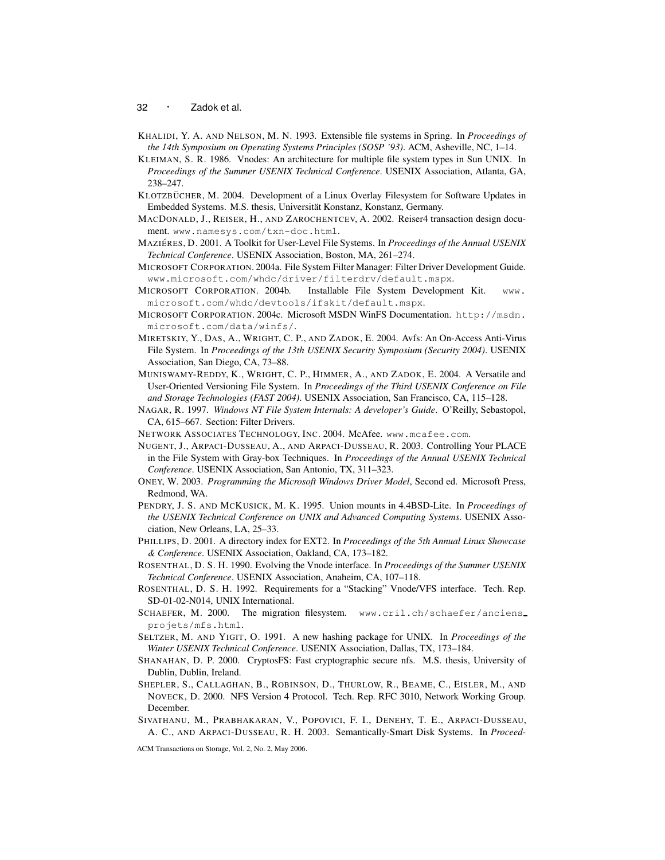- <sup>32</sup> · Zadok et al.
- KHALIDI, Y. A. AND NELSON, M. N. 1993. Extensible file systems in Spring. In *Proceedings of the 14th Symposium on Operating Systems Principles (SOSP '93)*. ACM, Asheville, NC, 1–14.
- KLEIMAN, S. R. 1986. Vnodes: An architecture for multiple file system types in Sun UNIX. In *Proceedings of the Summer USENIX Technical Conference*. USENIX Association, Atlanta, GA, 238–247.
- KLOTZBÜCHER, M. 2004. Development of a Linux Overlay Filesystem for Software Updates in Embedded Systems. M.S. thesis, Universität Konstanz, Konstanz, Germany.
- MACDONALD, J., REISER, H., AND ZAROCHENTCEV, A. 2002. Reiser4 transaction design document. www.namesys.com/txn-doc.html.
- MAZIE´RES, D. 2001. A Toolkit for User-Level File Systems. In *Proceedings of the Annual USENIX Technical Conference*. USENIX Association, Boston, MA, 261–274.
- MICROSOFT CORPORATION. 2004a. File System Filter Manager: Filter Driver Development Guide. www.microsoft.com/whdc/driver/filterdrv/default.mspx.
- MICROSOFT CORPORATION. 2004b. Installable File System Development Kit. www. microsoft.com/whdc/devtools/ifskit/default.mspx.
- MICROSOFT CORPORATION. 2004c. Microsoft MSDN WinFS Documentation. http://msdn. microsoft.com/data/winfs/.
- MIRETSKIY, Y., DAS, A., WRIGHT, C. P., AND ZADOK, E. 2004. Avfs: An On-Access Anti-Virus File System. In *Proceedings of the 13th USENIX Security Symposium (Security 2004)*. USENIX Association, San Diego, CA, 73–88.
- MUNISWAMY-REDDY, K., WRIGHT, C. P., HIMMER, A., AND ZADOK, E. 2004. A Versatile and User-Oriented Versioning File System. In *Proceedings of the Third USENIX Conference on File and Storage Technologies (FAST 2004)*. USENIX Association, San Francisco, CA, 115–128.
- NAGAR, R. 1997. *Windows NT File System Internals: A developer's Guide*. O'Reilly, Sebastopol, CA, 615–667. Section: Filter Drivers.
- NETWORK ASSOCIATES TECHNOLOGY, INC. 2004. McAfee. www.mcafee.com.
- NUGENT, J., ARPACI-DUSSEAU, A., AND ARPACI-DUSSEAU, R. 2003. Controlling Your PLACE in the File System with Gray-box Techniques. In *Proceedings of the Annual USENIX Technical Conference*. USENIX Association, San Antonio, TX, 311–323.
- ONEY, W. 2003. *Programming the Microsoft Windows Driver Model*, Second ed. Microsoft Press, Redmond, WA.
- PENDRY, J. S. AND MCKUSICK, M. K. 1995. Union mounts in 4.4BSD-Lite. In *Proceedings of the USENIX Technical Conference on UNIX and Advanced Computing Systems*. USENIX Association, New Orleans, LA, 25–33.
- PHILLIPS, D. 2001. A directory index for EXT2. In *Proceedings of the 5th Annual Linux Showcase & Conference*. USENIX Association, Oakland, CA, 173–182.
- ROSENTHAL, D. S. H. 1990. Evolving the Vnode interface. In *Proceedings of the Summer USENIX Technical Conference*. USENIX Association, Anaheim, CA, 107–118.
- ROSENTHAL, D. S. H. 1992. Requirements for a "Stacking" Vnode/VFS interface. Tech. Rep. SD-01-02-N014, UNIX International.
- SCHAEFER, M. 2000. The migration filesystem. www.cril.ch/schaefer/anciens\_ projets/mfs.html.
- SELTZER, M. AND YIGIT, O. 1991. A new hashing package for UNIX. In *Proceedings of the Winter USENIX Technical Conference*. USENIX Association, Dallas, TX, 173–184.
- SHANAHAN, D. P. 2000. CryptosFS: Fast cryptographic secure nfs. M.S. thesis, University of Dublin, Dublin, Ireland.
- SHEPLER, S., CALLAGHAN, B., ROBINSON, D., THURLOW, R., BEAME, C., EISLER, M., AND NOVECK, D. 2000. NFS Version 4 Protocol. Tech. Rep. RFC 3010, Network Working Group. December.
- SIVATHANU, M., PRABHAKARAN, V., POPOVICI, F. I., DENEHY, T. E., ARPACI-DUSSEAU, A. C., AND ARPACI-DUSSEAU, R. H. 2003. Semantically-Smart Disk Systems. In *Proceed-*